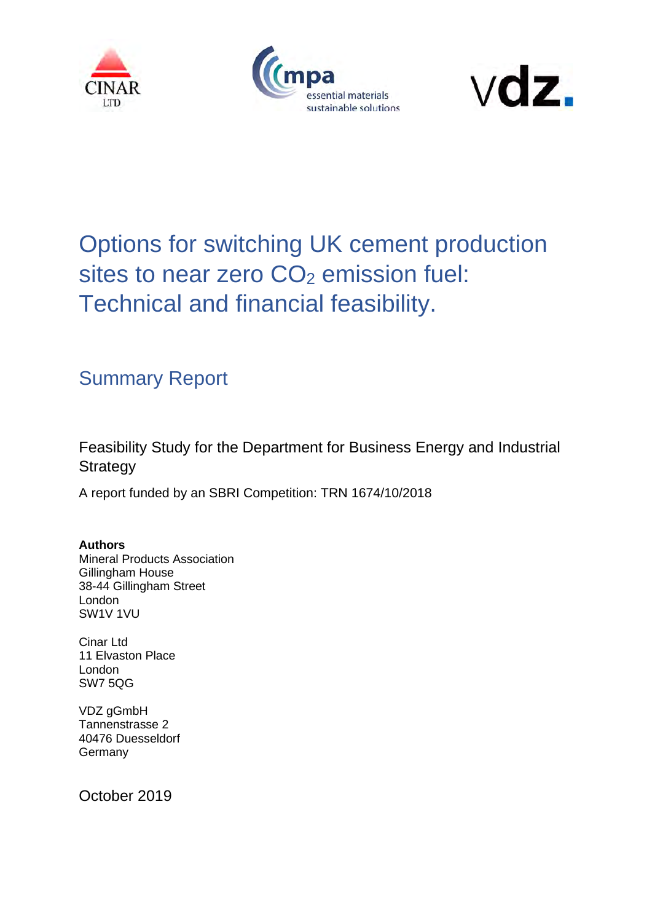





# Options for switching UK cement production sites to near zero  $CO<sub>2</sub>$  emission fuel: Technical and financial feasibility.

# Summary Report

Feasibility Study for the Department for Business Energy and Industrial **Strategy** 

A report funded by an SBRI Competition: TRN 1674/10/2018

**Authors** Mineral Products Association Gillingham House 38-44 Gillingham Street London SW1V 1VU

Cinar Ltd 11 Elvaston Place London SW7 5QG

VDZ gGmbH Tannenstrasse 2 40476 Duesseldorf Germany

October 2019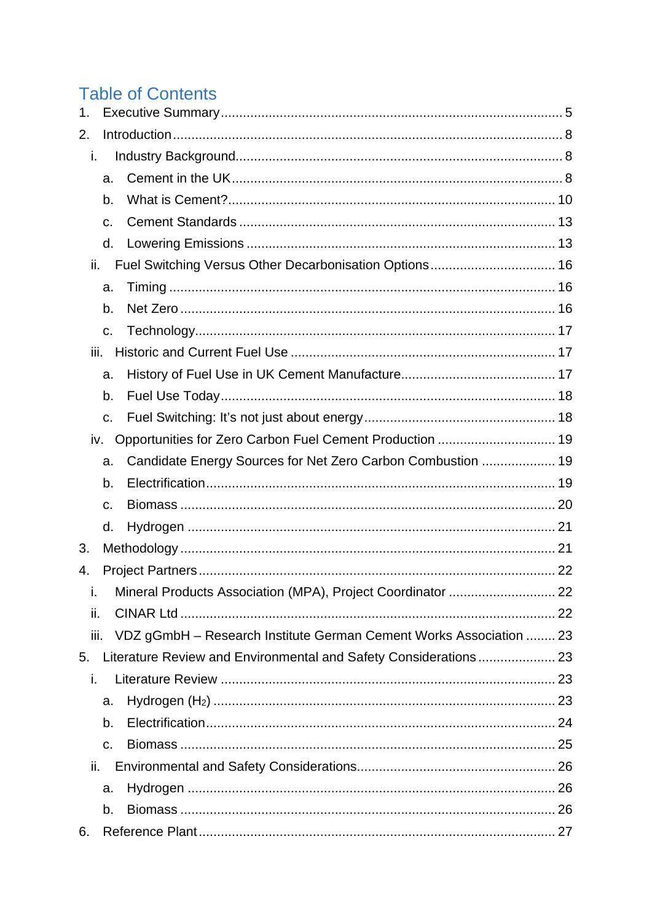# **Table of Contents**

| 1.           |    |                                                                    |    |
|--------------|----|--------------------------------------------------------------------|----|
| 2.           |    |                                                                    |    |
| i.           |    |                                                                    |    |
|              | a. |                                                                    |    |
|              | b. |                                                                    |    |
|              | c. |                                                                    |    |
|              | d. |                                                                    |    |
| ii.          |    | Fuel Switching Versus Other Decarbonisation Options 16             |    |
|              | a. |                                                                    |    |
|              | b. |                                                                    |    |
|              | C. |                                                                    |    |
| iii.         |    |                                                                    |    |
|              | a. |                                                                    |    |
|              | b. |                                                                    |    |
|              | c. |                                                                    |    |
| iv.          |    | Opportunities for Zero Carbon Fuel Cement Production  19           |    |
|              | a. | Candidate Energy Sources for Net Zero Carbon Combustion  19        |    |
|              | b. |                                                                    |    |
|              | C. |                                                                    |    |
|              | d. |                                                                    |    |
| 3.           |    |                                                                    |    |
| 4.           |    |                                                                    |    |
| $\mathbf{L}$ |    | Mineral Products Association (MPA), Project Coordinator.           | 22 |
| ii.          |    |                                                                    |    |
| iii.         |    | VDZ gGmbH - Research Institute German Cement Works Association  23 |    |
| 5.           |    |                                                                    |    |
| i.           |    |                                                                    |    |
|              | a. |                                                                    |    |
|              | b. |                                                                    |    |
|              | C. |                                                                    |    |
| ii.          |    |                                                                    |    |
|              | a. |                                                                    |    |
|              | b. |                                                                    |    |
| 6.           |    |                                                                    |    |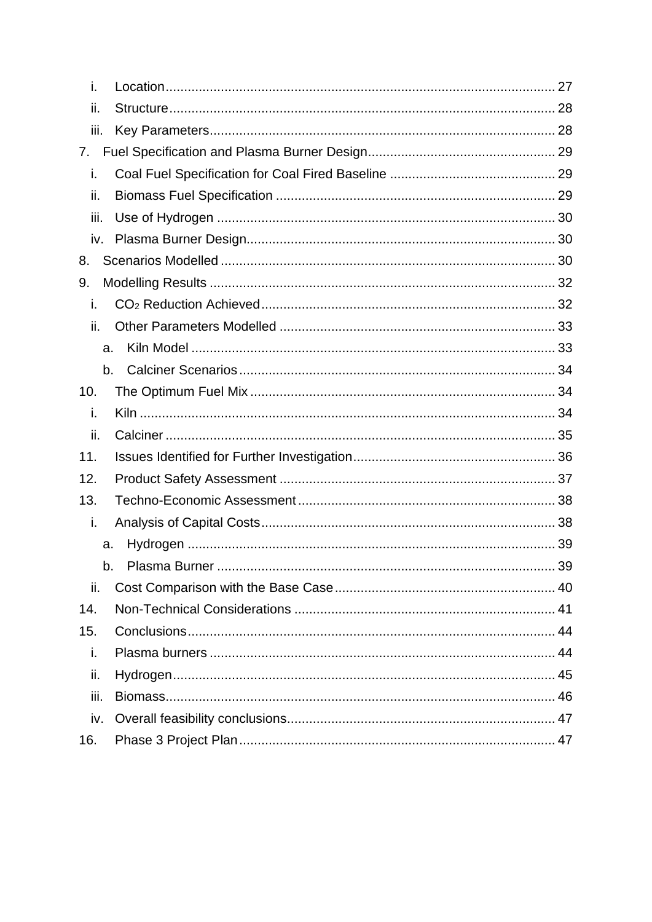| i.   |  |
|------|--|
| ii.  |  |
| iii. |  |
| 7.   |  |
| i.   |  |
| ii.  |  |
| iii. |  |
| iv.  |  |
| 8.   |  |
| 9.   |  |
| i.   |  |
| ii.  |  |
| a.   |  |
| b.   |  |
| 10.  |  |
| i.   |  |
| ii.  |  |
| 11.  |  |
| 12.  |  |
| 13.  |  |
| i.   |  |
| a.   |  |
| b.   |  |
| ii.  |  |
| 14.  |  |
| 15.  |  |
| i.   |  |
| ii.  |  |
| iii. |  |
|      |  |
| iv.  |  |
| 16.  |  |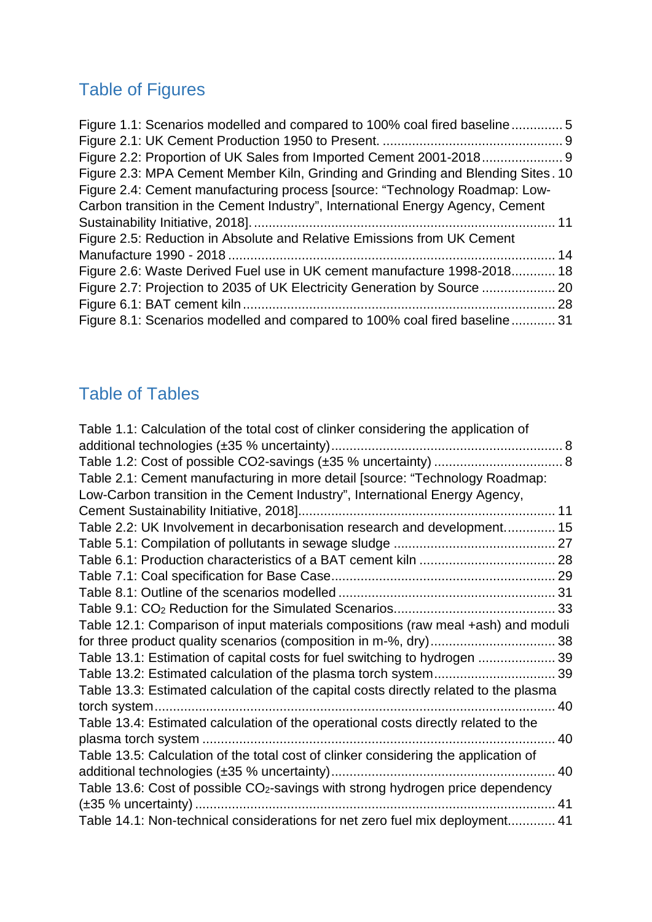# Table of Figures

| Figure 1.1: Scenarios modelled and compared to 100% coal fired baseline5         |  |
|----------------------------------------------------------------------------------|--|
|                                                                                  |  |
|                                                                                  |  |
| Figure 2.3: MPA Cement Member Kiln, Grinding and Grinding and Blending Sites. 10 |  |
| Figure 2.4: Cement manufacturing process [source: "Technology Roadmap: Low-      |  |
| Carbon transition in the Cement Industry", International Energy Agency, Cement   |  |
|                                                                                  |  |
| Figure 2.5: Reduction in Absolute and Relative Emissions from UK Cement          |  |
|                                                                                  |  |
| Figure 2.6: Waste Derived Fuel use in UK cement manufacture 1998-2018 18         |  |
| Figure 2.7: Projection to 2035 of UK Electricity Generation by Source  20        |  |
|                                                                                  |  |
| Figure 8.1: Scenarios modelled and compared to 100% coal fired baseline 31       |  |
|                                                                                  |  |

# Table of Tables

| Table 1.1: Calculation of the total cost of clinker considering the application of          |    |
|---------------------------------------------------------------------------------------------|----|
|                                                                                             |    |
|                                                                                             |    |
| Table 2.1: Cement manufacturing in more detail [source: "Technology Roadmap:                |    |
| Low-Carbon transition in the Cement Industry", International Energy Agency,                 |    |
|                                                                                             | 11 |
| Table 2.2: UK Involvement in decarbonisation research and development 15                    |    |
|                                                                                             |    |
|                                                                                             |    |
|                                                                                             |    |
|                                                                                             |    |
|                                                                                             |    |
| Table 12.1: Comparison of input materials compositions (raw meal +ash) and moduli           |    |
|                                                                                             |    |
| Table 13.1: Estimation of capital costs for fuel switching to hydrogen  39                  |    |
| Table 13.2: Estimated calculation of the plasma torch system 39                             |    |
| Table 13.3: Estimated calculation of the capital costs directly related to the plasma       |    |
| torch system                                                                                | 40 |
| Table 13.4: Estimated calculation of the operational costs directly related to the          |    |
|                                                                                             | 40 |
| Table 13.5: Calculation of the total cost of clinker considering the application of         |    |
|                                                                                             | 40 |
| Table 13.6: Cost of possible CO <sub>2</sub> -savings with strong hydrogen price dependency |    |
|                                                                                             | 41 |
| Table 14.1: Non-technical considerations for net zero fuel mix deployment 41                |    |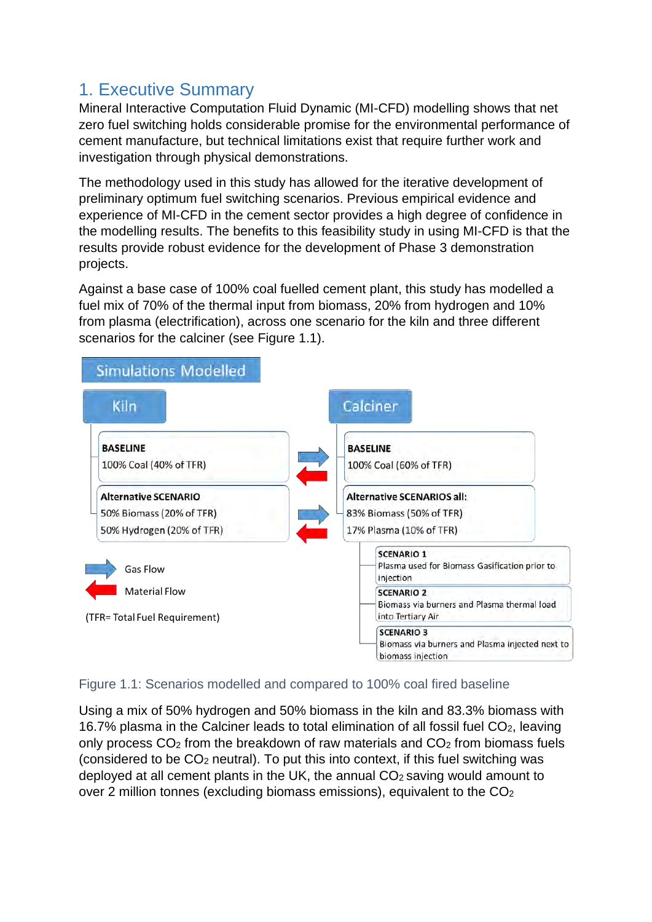# <span id="page-4-0"></span>1. Executive Summary

Mineral Interactive Computation Fluid Dynamic (MI-CFD) modelling shows that net zero fuel switching holds considerable promise for the environmental performance of cement manufacture, but technical limitations exist that require further work and investigation through physical demonstrations.

The methodology used in this study has allowed for the iterative development of preliminary optimum fuel switching scenarios. Previous empirical evidence and experience of MI-CFD in the cement sector provides a high degree of confidence in the modelling results. The benefits to this feasibility study in using MI-CFD is that the results provide robust evidence for the development of Phase 3 demonstration projects.

Against a base case of 100% coal fuelled cement plant, this study has modelled a fuel mix of 70% of the thermal input from biomass, 20% from hydrogen and 10% from plasma (electrification), across one scenario for the kiln and three different scenarios for the calciner (see [Figure 1.1\)](#page-4-1).



#### <span id="page-4-1"></span>Figure 1.1: Scenarios modelled and compared to 100% coal fired baseline

Using a mix of 50% hydrogen and 50% biomass in the kiln and 83.3% biomass with 16.7% plasma in the Calciner leads to total elimination of all fossil fuel  $CO<sub>2</sub>$ , leaving only process  $CO<sub>2</sub>$  from the breakdown of raw materials and  $CO<sub>2</sub>$  from biomass fuels (considered to be CO2 neutral). To put this into context, if this fuel switching was deployed at all cement plants in the UK, the annual  $CO<sub>2</sub>$  saving would amount to over 2 million tonnes (excluding biomass emissions), equivalent to the  $CO<sub>2</sub>$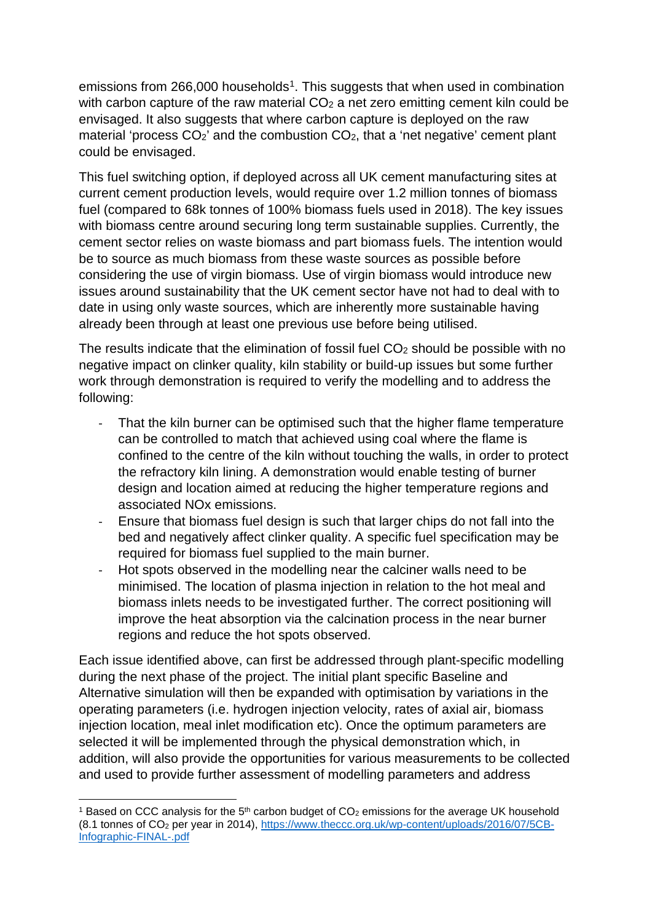<span id="page-5-1"></span>emissions from 266,000 households<sup>[1](#page-5-0)</sup>. This suggests that when used in combination with carbon capture of the raw material  $CO<sub>2</sub>$  a net zero emitting cement kiln could be envisaged. It also suggests that where carbon capture is deployed on the raw material 'process  $CO<sub>2</sub>$ ' and the combustion  $CO<sub>2</sub>$ , that a 'net negative' cement plant could be envisaged.

This fuel switching option, if deployed across all UK cement manufacturing sites at current cement production levels, would require over 1.2 million tonnes of biomass fuel (compared to 68k tonnes of 100% biomass fuels used in 2018). The key issues with biomass centre around securing long term sustainable supplies. Currently, the cement sector relies on waste biomass and part biomass fuels. The intention would be to source as much biomass from these waste sources as possible before considering the use of virgin biomass. Use of virgin biomass would introduce new issues around sustainability that the UK cement sector have not had to deal with to date in using only waste sources, which are inherently more sustainable having already been through at least one previous use before being utilised.

The results indicate that the elimination of fossil fuel  $CO<sub>2</sub>$  should be possible with no negative impact on clinker quality, kiln stability or build-up issues but some further work through demonstration is required to verify the modelling and to address the following:

- That the kiln burner can be optimised such that the higher flame temperature can be controlled to match that achieved using coal where the flame is confined to the centre of the kiln without touching the walls, in order to protect the refractory kiln lining. A demonstration would enable testing of burner design and location aimed at reducing the higher temperature regions and associated NOx emissions.
- Ensure that biomass fuel design is such that larger chips do not fall into the bed and negatively affect clinker quality. A specific fuel specification may be required for biomass fuel supplied to the main burner.
- Hot spots observed in the modelling near the calciner walls need to be minimised. The location of plasma injection in relation to the hot meal and biomass inlets needs to be investigated further. The correct positioning will improve the heat absorption via the calcination process in the near burner regions and reduce the hot spots observed.

Each issue identified above, can first be addressed through plant-specific modelling during the next phase of the project. The initial plant specific Baseline and Alternative simulation will then be expanded with optimisation by variations in the operating parameters (i.e. hydrogen injection velocity, rates of axial air, biomass injection location, meal inlet modification etc). Once the optimum parameters are selected it will be implemented through the physical demonstration which, in addition, will also provide the opportunities for various measurements to be collected and used to provide further assessment of modelling parameters and address

<span id="page-5-0"></span><sup>&</sup>lt;sup>1</sup> Based on CCC analysis for the 5<sup>th</sup> carbon budget of CO<sub>2</sub> emissions for the average UK household (8.1 tonnes of CO2 per year in 2014), [https://www.theccc.org.uk/wp-content/uploads/2016/07/5CB-](https://www.theccc.org.uk/wp-content/uploads/2016/07/5CB-Infographic-FINAL-.pdf)[Infographic-FINAL-.pdf](https://www.theccc.org.uk/wp-content/uploads/2016/07/5CB-Infographic-FINAL-.pdf)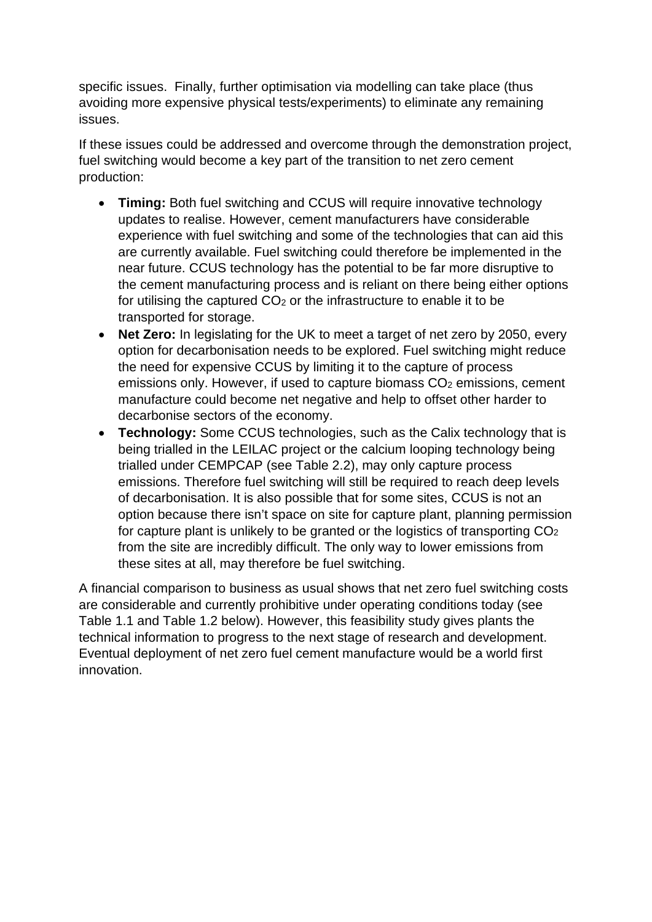specific issues. Finally, further optimisation via modelling can take place (thus avoiding more expensive physical tests/experiments) to eliminate any remaining issues.

If these issues could be addressed and overcome through the demonstration project, fuel switching would become a key part of the transition to net zero cement production:

- **Timing:** Both fuel switching and CCUS will require innovative technology updates to realise. However, cement manufacturers have considerable experience with fuel switching and some of the technologies that can aid this are currently available. Fuel switching could therefore be implemented in the near future. CCUS technology has the potential to be far more disruptive to the cement manufacturing process and is reliant on there being either options for utilising the captured  $CO<sub>2</sub>$  or the infrastructure to enable it to be transported for storage.
- **Net Zero:** In legislating for the UK to meet a target of net zero by 2050, every option for decarbonisation needs to be explored. Fuel switching might reduce the need for expensive CCUS by limiting it to the capture of process emissions only. However, if used to capture biomass  $CO<sub>2</sub>$  emissions, cement manufacture could become net negative and help to offset other harder to decarbonise sectors of the economy.
- **Technology:** Some CCUS technologies, such as the Calix technology that is being trialled in the LEILAC project or the calcium looping technology being trialled under CEMPCAP (see [Table 2.2\)](#page-14-0), may only capture process emissions. Therefore fuel switching will still be required to reach deep levels of decarbonisation. It is also possible that for some sites, CCUS is not an option because there isn't space on site for capture plant, planning permission for capture plant is unlikely to be granted or the logistics of transporting CO2 from the site are incredibly difficult. The only way to lower emissions from these sites at all, may therefore be fuel switching.

A financial comparison to business as usual shows that net zero fuel switching costs are considerable and currently prohibitive under operating conditions today (see [Table 1.1](#page-7-3) and [Table 1.2](#page-7-4) below). However, this feasibility study gives plants the technical information to progress to the next stage of research and development. Eventual deployment of net zero fuel cement manufacture would be a world first innovation.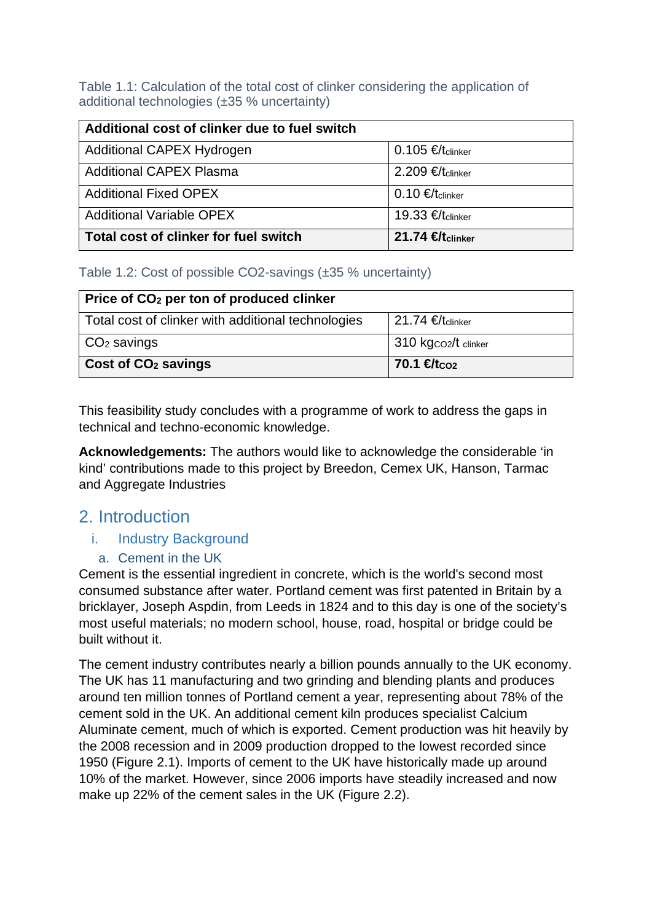<span id="page-7-3"></span>Table 1.1: Calculation of the total cost of clinker considering the application of additional technologies (±35 % uncertainty)

| Additional cost of clinker due to fuel switch |                              |  |  |
|-----------------------------------------------|------------------------------|--|--|
| Additional CAPEX Hydrogen                     | $0.105$ €/tclinker           |  |  |
| <b>Additional CAPEX Plasma</b>                | $2.209$ €/tclinker           |  |  |
| <b>Additional Fixed OPEX</b>                  | 0.10 €/ $t_{\text{clinker}}$ |  |  |
| <b>Additional Variable OPEX</b>               | 19.33 €/t <sub>clinker</sub> |  |  |
| Total cost of clinker for fuel switch         | 21.74 €tclinker              |  |  |

<span id="page-7-4"></span>Table 1.2: Cost of possible CO2-savings (±35 % uncertainty)

| Price of CO <sub>2</sub> per ton of produced clinker |                               |  |  |
|------------------------------------------------------|-------------------------------|--|--|
| Total cost of clinker with additional technologies   | 21.74 €/ $t_{\text{clinker}}$ |  |  |
| $CO2$ savings                                        | 310 kgco2/t clinker           |  |  |
| Cost of CO <sub>2</sub> savings                      | 70.1 $f_{\text{tco2}}$        |  |  |

This feasibility study concludes with a programme of work to address the gaps in technical and techno-economic knowledge.

**Acknowledgements:** The authors would like to acknowledge the considerable 'in kind' contributions made to this project by Breedon, Cemex UK, Hanson, Tarmac and Aggregate Industries

# <span id="page-7-0"></span>2. Introduction

#### <span id="page-7-1"></span>i. Industry Background

a. Cement in the UK

<span id="page-7-2"></span>Cement is the essential ingredient in concrete, which is the world's second most consumed substance after water. Portland cement was first patented in Britain by a bricklayer, Joseph Aspdin, from Leeds in 1824 and to this day is one of the society's most useful materials; no modern school, house, road, hospital or bridge could be built without it.

The cement industry contributes nearly a billion pounds annually to the UK economy. The UK has 11 manufacturing and two grinding and blending plants and produces around ten million tonnes of Portland cement a year, representing about 78% of the cement sold in the UK. An additional cement kiln produces specialist Calcium Aluminate cement, much of which is exported. Cement production was hit heavily by the 2008 recession and in 2009 production dropped to the lowest recorded since 1950 [\(Figure 2.1\)](#page-8-0). Imports of cement to the UK have historically made up around 10% of the market. However, since 2006 imports have steadily increased and now make up 22% of the cement sales in the UK [\(Figure 2.2\)](#page-8-1).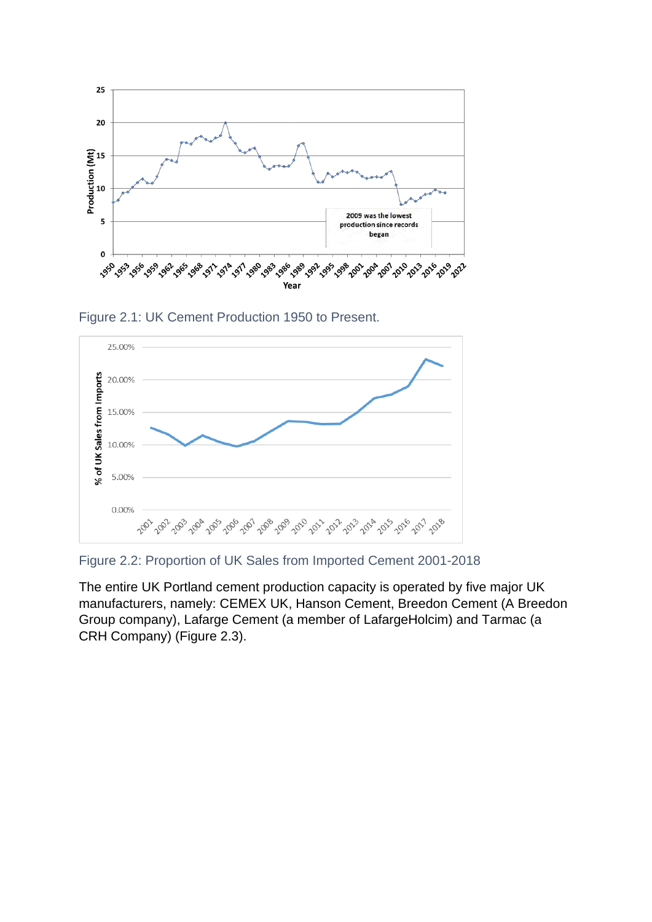

<span id="page-8-0"></span>Figure 2.1: UK Cement Production 1950 to Present.



<span id="page-8-1"></span>Figure 2.2: Proportion of UK Sales from Imported Cement 2001-2018

The entire UK Portland cement production capacity is operated by five major UK manufacturers, namely: CEMEX UK, Hanson Cement, Breedon Cement (A Breedon Group company), Lafarge Cement (a member of LafargeHolcim) and Tarmac (a CRH Company) [\(Figure 2.3\)](#page-9-1).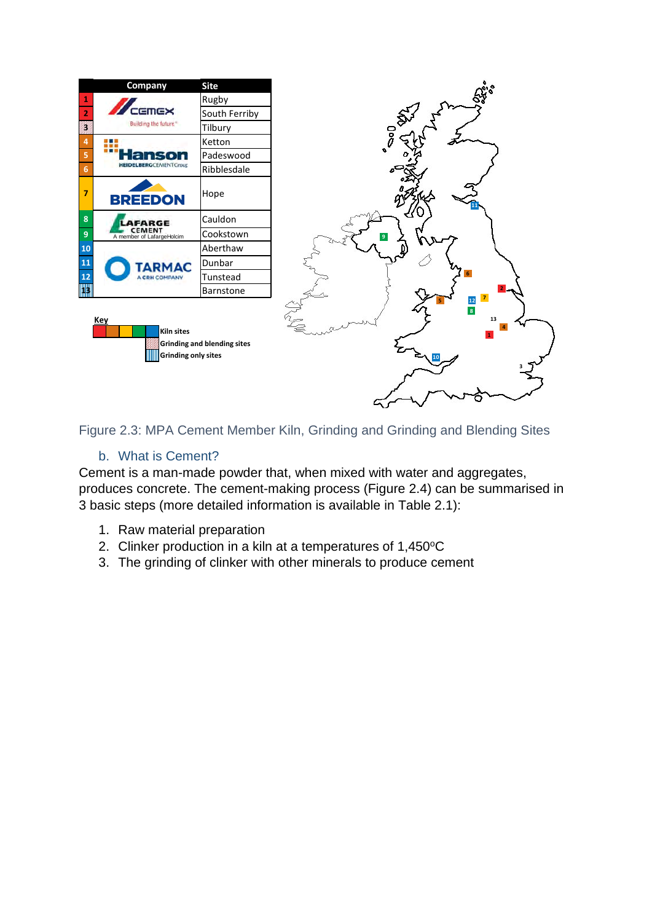

<span id="page-9-1"></span>Figure 2.3: MPA Cement Member Kiln, Grinding and Grinding and Blending Sites

#### b. What is Cement?

<span id="page-9-0"></span>Cement is a man-made powder that, when mixed with water and aggregates, produces concrete. The cement-making process [\(Figure 2.4\)](#page-10-0) can be summarised in 3 basic steps (more detailed information is available in [Table 2.1\)](#page-10-1):

- 1. Raw material preparation
- 2. Clinker production in a kiln at a temperatures of  $1,450^{\circ}$ C
- 3. The grinding of clinker with other minerals to produce cement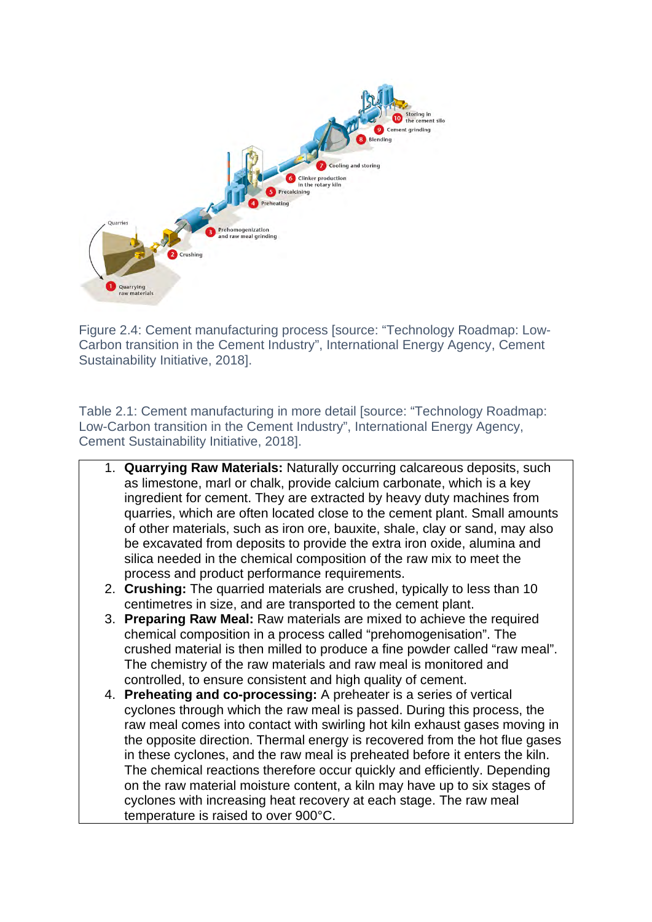

<span id="page-10-0"></span>Figure 2.4: Cement manufacturing process [source: "Technology Roadmap: Low-Carbon transition in the Cement Industry", International Energy Agency, Cement Sustainability Initiative, 2018].

<span id="page-10-1"></span>Table 2.1: Cement manufacturing in more detail [source: "Technology Roadmap: Low-Carbon transition in the Cement Industry", International Energy Agency, Cement Sustainability Initiative, 2018].

- 1. **Quarrying Raw Materials:** Naturally occurring calcareous deposits, such as limestone, marl or chalk, provide calcium carbonate, which is a key ingredient for cement. They are extracted by heavy duty machines from quarries, which are often located close to the cement plant. Small amounts of other materials, such as iron ore, bauxite, shale, clay or sand, may also be excavated from deposits to provide the extra iron oxide, alumina and silica needed in the chemical composition of the raw mix to meet the process and product performance requirements.
- 2. **Crushing:** The quarried materials are crushed, typically to less than 10 centimetres in size, and are transported to the cement plant.
- 3. **Preparing Raw Meal:** Raw materials are mixed to achieve the required chemical composition in a process called "prehomogenisation". The crushed material is then milled to produce a fine powder called "raw meal". The chemistry of the raw materials and raw meal is monitored and controlled, to ensure consistent and high quality of cement.
- 4. **Preheating and co-processing:** A preheater is a series of vertical cyclones through which the raw meal is passed. During this process, the raw meal comes into contact with swirling hot kiln exhaust gases moving in the opposite direction. Thermal energy is recovered from the hot flue gases in these cyclones, and the raw meal is preheated before it enters the kiln. The chemical reactions therefore occur quickly and efficiently. Depending on the raw material moisture content, a kiln may have up to six stages of cyclones with increasing heat recovery at each stage. The raw meal temperature is raised to over 900°C.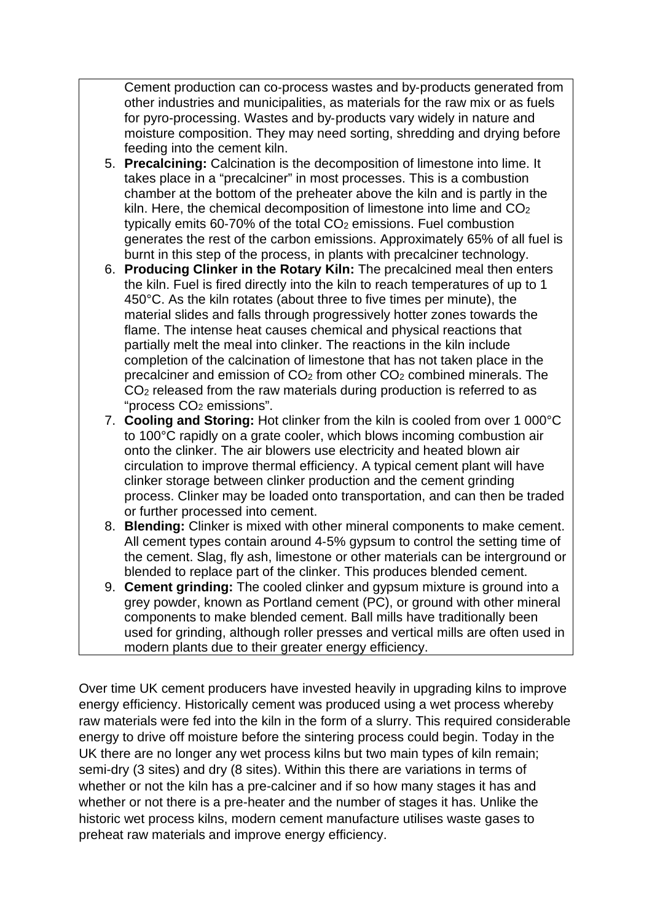Cement production can co‑process wastes and by‑products generated from other industries and municipalities, as materials for the raw mix or as fuels for pyro-processing. Wastes and by‑products vary widely in nature and moisture composition. They may need sorting, shredding and drying before feeding into the cement kiln.

- 5. **Precalcining:** Calcination is the decomposition of limestone into lime. It takes place in a "precalciner" in most processes. This is a combustion chamber at the bottom of the preheater above the kiln and is partly in the kiln. Here, the chemical decomposition of limestone into lime and CO<sub>2</sub> typically emits 60‑70% of the total CO2 emissions. Fuel combustion generates the rest of the carbon emissions. Approximately 65% of all fuel is burnt in this step of the process, in plants with precalciner technology.
- 6. **Producing Clinker in the Rotary Kiln:** The precalcined meal then enters the kiln. Fuel is fired directly into the kiln to reach temperatures of up to 1 450°C. As the kiln rotates (about three to five times per minute), the material slides and falls through progressively hotter zones towards the flame. The intense heat causes chemical and physical reactions that partially melt the meal into clinker. The reactions in the kiln include completion of the calcination of limestone that has not taken place in the precalciner and emission of CO2 from other CO2 combined minerals. The CO2 released from the raw materials during production is referred to as "process CO2 emissions".
- 7. **Cooling and Storing:** Hot clinker from the kiln is cooled from over 1 000°C to 100°C rapidly on a grate cooler, which blows incoming combustion air onto the clinker. The air blowers use electricity and heated blown air circulation to improve thermal efficiency. A typical cement plant will have clinker storage between clinker production and the cement grinding process. Clinker may be loaded onto transportation, and can then be traded or further processed into cement.
- 8. **Blending:** Clinker is mixed with other mineral components to make cement. All cement types contain around 4‑5% gypsum to control the setting time of the cement. Slag, fly ash, limestone or other materials can be interground or blended to replace part of the clinker. This produces blended cement.
- 9. **Cement grinding:** The cooled clinker and gypsum mixture is ground into a grey powder, known as Portland cement (PC), or ground with other mineral components to make blended cement. Ball mills have traditionally been used for grinding, although roller presses and vertical mills are often used in modern plants due to their greater energy efficiency.

Over time UK cement producers have invested heavily in upgrading kilns to improve energy efficiency. Historically cement was produced using a wet process whereby raw materials were fed into the kiln in the form of a slurry. This required considerable energy to drive off moisture before the sintering process could begin. Today in the UK there are no longer any wet process kilns but two main types of kiln remain; semi-dry (3 sites) and dry (8 sites). Within this there are variations in terms of whether or not the kiln has a pre-calciner and if so how many stages it has and whether or not there is a pre-heater and the number of stages it has. Unlike the historic wet process kilns, modern cement manufacture utilises waste gases to preheat raw materials and improve energy efficiency.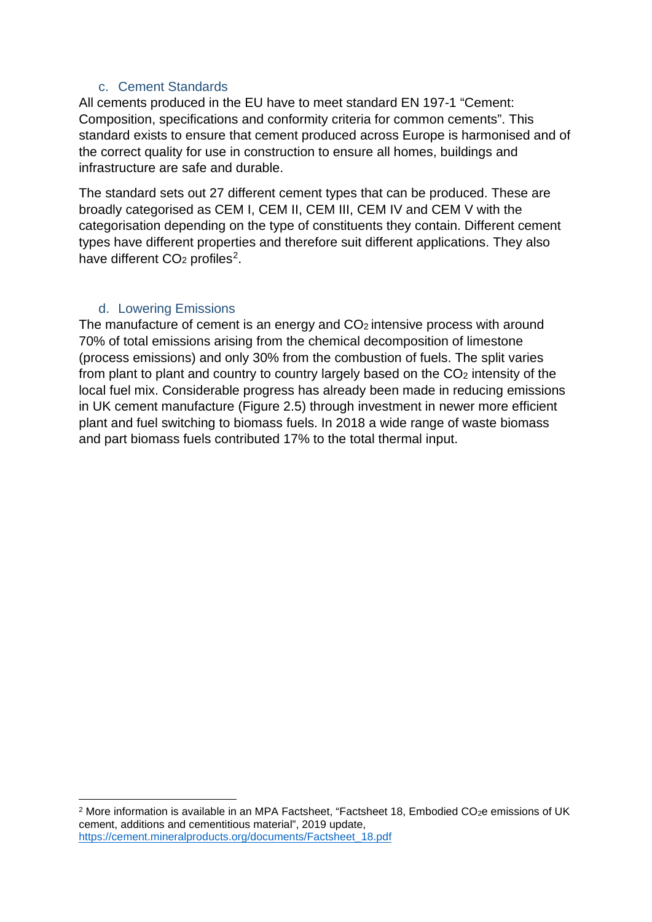#### c. Cement Standards

<span id="page-12-0"></span>All cements produced in the EU have to meet standard EN 197-1 "Cement: Composition, specifications and conformity criteria for common cements". This standard exists to ensure that cement produced across Europe is harmonised and of the correct quality for use in construction to ensure all homes, buildings and infrastructure are safe and durable.

The standard sets out 27 different cement types that can be produced. These are broadly categorised as CEM I, CEM II, CEM III, CEM IV and CEM V with the categorisation depending on the type of constituents they contain. Different cement types have different properties and therefore suit different applications. They also have different CO<sub>[2](#page-12-2)</sub> profiles<sup>2</sup>.

#### d. Lowering Emissions

<span id="page-12-1"></span>The manufacture of cement is an energy and CO<sub>2</sub> intensive process with around 70% of total emissions arising from the chemical decomposition of limestone (process emissions) and only 30% from the combustion of fuels. The split varies from plant to plant and country to country largely based on the CO2 intensity of the local fuel mix. Considerable progress has already been made in reducing emissions in UK cement manufacture [\(Figure 2.5\)](#page-13-0) through investment in newer more efficient plant and fuel switching to biomass fuels. In 2018 a wide range of waste biomass and part biomass fuels contributed 17% to the total thermal input.

<span id="page-12-2"></span> $2$  More information is available in an MPA Factsheet, "Factsheet 18, Embodied CO<sub>2</sub>e emissions of UK cement, additions and cementitious material", 2019 update, [https://cement.mineralproducts.org/documents/Factsheet\\_18.pdf](https://cement.mineralproducts.org/documents/Factsheet_18.pdf)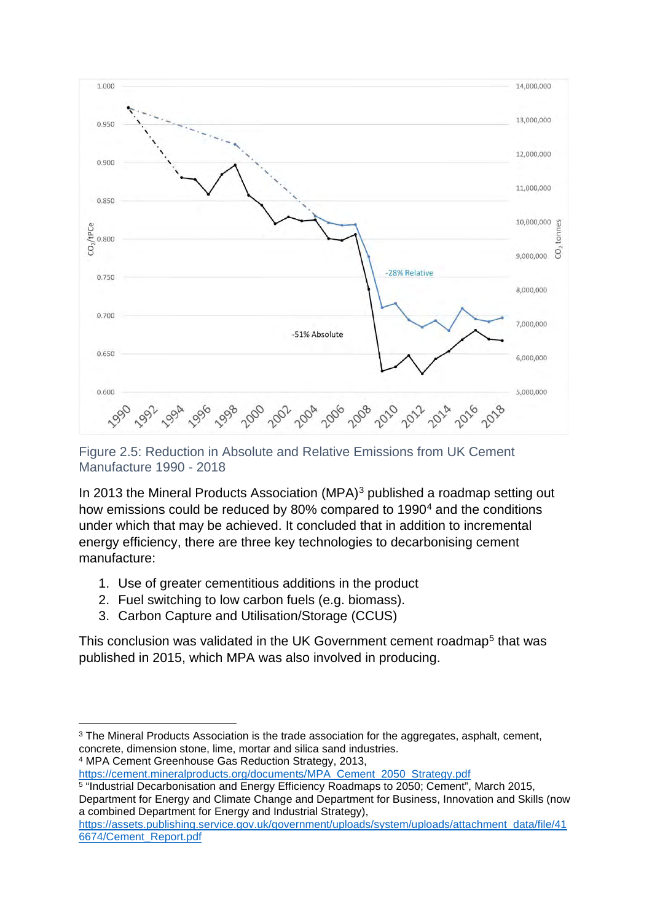

<span id="page-13-0"></span>Figure 2.5: Reduction in Absolute and Relative Emissions from UK Cement Manufacture 1990 - 2018

In 201[3](#page-13-1) the Mineral Products Association (MPA)<sup>3</sup> published a roadmap setting out how emissions could be reduced by 80% compared to 1990<sup>[4](#page-13-2)</sup> and the conditions under which that may be achieved. It concluded that in addition to incremental energy efficiency, there are three key technologies to decarbonising cement manufacture:

- 1. Use of greater cementitious additions in the product
- 2. Fuel switching to low carbon fuels (e.g. biomass).
- 3. Carbon Capture and Utilisation/Storage (CCUS)

This conclusion was validated in the UK Government cement roadmap<sup>[5](#page-13-3)</sup> that was published in 2015, which MPA was also involved in producing.

<span id="page-13-2"></span>

<span id="page-13-1"></span><sup>&</sup>lt;sup>3</sup> The Mineral Products Association is the trade association for the aggregates, asphalt, cement, concrete, dimension stone, lime, mortar and silica sand industries.<br>
<sup>4</sup> MPA Cement Greenhouse Gas Reduction Strategy, 2013,<br>
https://cement.mineralproducts.org/documents/MPA Cement 2050 Strategy.pdf

<span id="page-13-3"></span> $\frac{1}{5}$  "Industrial Decarbonisation and Energy Efficiency Roadmaps to 2050; Cement", March 2015, Department for Energy and Climate Change and Department for Business, Innovation and Skills (now a combined Department for Energy and Industrial Strategy),

[https://assets.publishing.service.gov.uk/government/uploads/system/uploads/attachment\\_data/file/41](https://assets.publishing.service.gov.uk/government/uploads/system/uploads/attachment_data/file/416674/Cement_Report.pdf) [6674/Cement\\_Report.pdf](https://assets.publishing.service.gov.uk/government/uploads/system/uploads/attachment_data/file/416674/Cement_Report.pdf)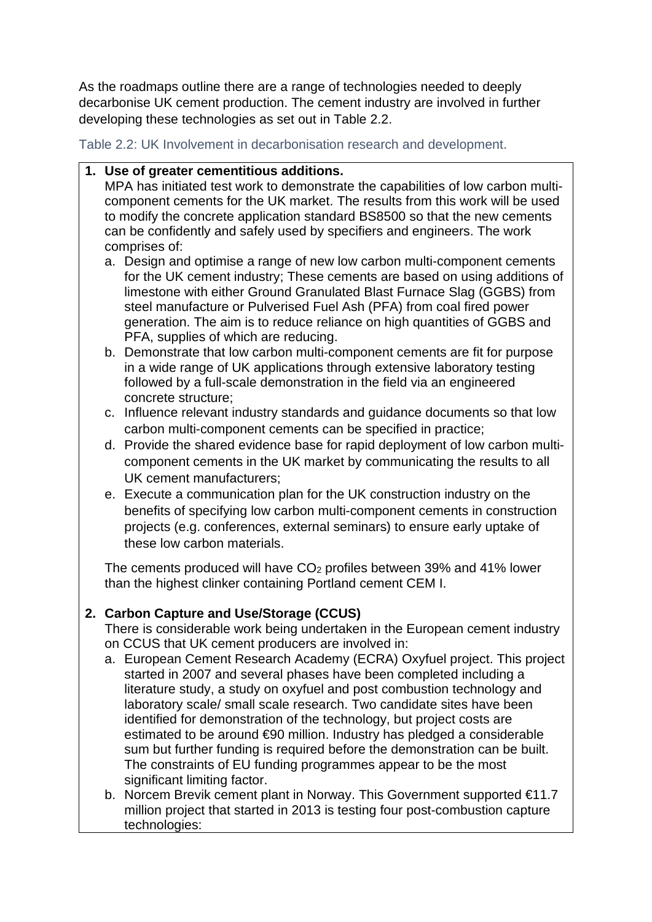As the roadmaps outline there are a range of technologies needed to deeply decarbonise UK cement production. The cement industry are involved in further developing these technologies as set out in [Table 2.2.](#page-14-0)

<span id="page-14-0"></span>Table 2.2: UK Involvement in decarbonisation research and development.

#### **1. Use of greater cementitious additions.**

MPA has initiated test work to demonstrate the capabilities of low carbon multicomponent cements for the UK market. The results from this work will be used to modify the concrete application standard BS8500 so that the new cements can be confidently and safely used by specifiers and engineers. The work comprises of:

- a. Design and optimise a range of new low carbon multi-component cements for the UK cement industry; These cements are based on using additions of limestone with either Ground Granulated Blast Furnace Slag (GGBS) from steel manufacture or Pulverised Fuel Ash (PFA) from coal fired power generation. The aim is to reduce reliance on high quantities of GGBS and PFA, supplies of which are reducing.
- b. Demonstrate that low carbon multi-component cements are fit for purpose in a wide range of UK applications through extensive laboratory testing followed by a full-scale demonstration in the field via an engineered concrete structure;
- c. Influence relevant industry standards and guidance documents so that low carbon multi-component cements can be specified in practice;
- d. Provide the shared evidence base for rapid deployment of low carbon multicomponent cements in the UK market by communicating the results to all UK cement manufacturers;
- e. Execute a communication plan for the UK construction industry on the benefits of specifying low carbon multi-component cements in construction projects (e.g. conferences, external seminars) to ensure early uptake of these low carbon materials.

The cements produced will have  $CO<sub>2</sub>$  profiles between 39% and 41% lower than the highest clinker containing Portland cement CEM I.

#### **2. Carbon Capture and Use/Storage (CCUS)**

There is considerable work being undertaken in the European cement industry on CCUS that UK cement producers are involved in:

- a. European Cement Research Academy (ECRA) Oxyfuel project. This project started in 2007 and several phases have been completed including a literature study, a study on oxyfuel and post combustion technology and laboratory scale/ small scale research. Two candidate sites have been identified for demonstration of the technology, but project costs are estimated to be around €90 million. Industry has pledged a considerable sum but further funding is required before the demonstration can be built. The constraints of EU funding programmes appear to be the most significant limiting factor.
- b. Norcem Brevik cement plant in Norway. This Government supported €11.7 million project that started in 2013 is testing four post-combustion capture technologies: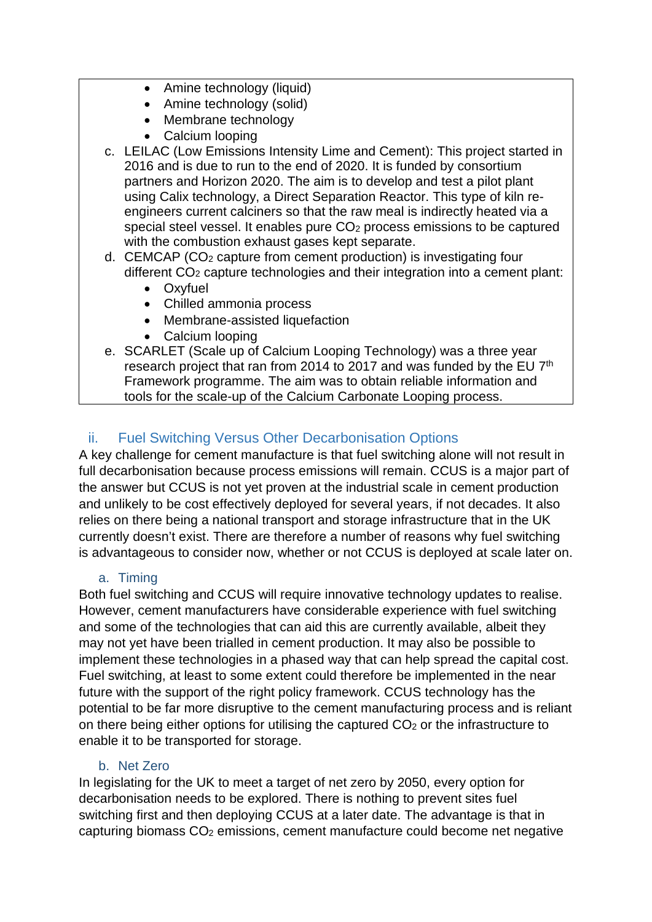- Amine technology (liquid)
- Amine technology (solid)
- Membrane technology
- Calcium looping
- c. LEILAC (Low Emissions Intensity Lime and Cement): This project started in 2016 and is due to run to the end of 2020. It is funded by consortium partners and Horizon 2020. The aim is to develop and test a pilot plant using Calix technology, a Direct Separation Reactor. This type of kiln reengineers current calciners so that the raw meal is indirectly heated via a special steel vessel. It enables pure  $CO<sub>2</sub>$  process emissions to be captured with the combustion exhaust gases kept separate.
- d. CEMCAP (CO2 capture from cement production) is investigating four different CO<sub>2</sub> capture technologies and their integration into a cement plant:
	- Oxyfuel
	- Chilled ammonia process
	- Membrane-assisted liquefaction
	- Calcium looping
- e. SCARLET (Scale up of Calcium Looping Technology) was a three year research project that ran from 2014 to 2017 and was funded by the EU 7th Framework programme. The aim was to obtain reliable information and tools for the scale-up of the Calcium Carbonate Looping process.

### <span id="page-15-0"></span>ii. Fuel Switching Versus Other Decarbonisation Options

A key challenge for cement manufacture is that fuel switching alone will not result in full decarbonisation because process emissions will remain. CCUS is a major part of the answer but CCUS is not yet proven at the industrial scale in cement production and unlikely to be cost effectively deployed for several years, if not decades. It also relies on there being a national transport and storage infrastructure that in the UK currently doesn't exist. There are therefore a number of reasons why fuel switching is advantageous to consider now, whether or not CCUS is deployed at scale later on.

#### a. Timing

<span id="page-15-1"></span>Both fuel switching and CCUS will require innovative technology updates to realise. However, cement manufacturers have considerable experience with fuel switching and some of the technologies that can aid this are currently available, albeit they may not yet have been trialled in cement production. It may also be possible to implement these technologies in a phased way that can help spread the capital cost. Fuel switching, at least to some extent could therefore be implemented in the near future with the support of the right policy framework. CCUS technology has the potential to be far more disruptive to the cement manufacturing process and is reliant on there being either options for utilising the captured CO<sub>2</sub> or the infrastructure to enable it to be transported for storage.

#### b. Net Zero

<span id="page-15-2"></span>In legislating for the UK to meet a target of net zero by 2050, every option for decarbonisation needs to be explored. There is nothing to prevent sites fuel switching first and then deploying CCUS at a later date. The advantage is that in capturing biomass CO2 emissions, cement manufacture could become net negative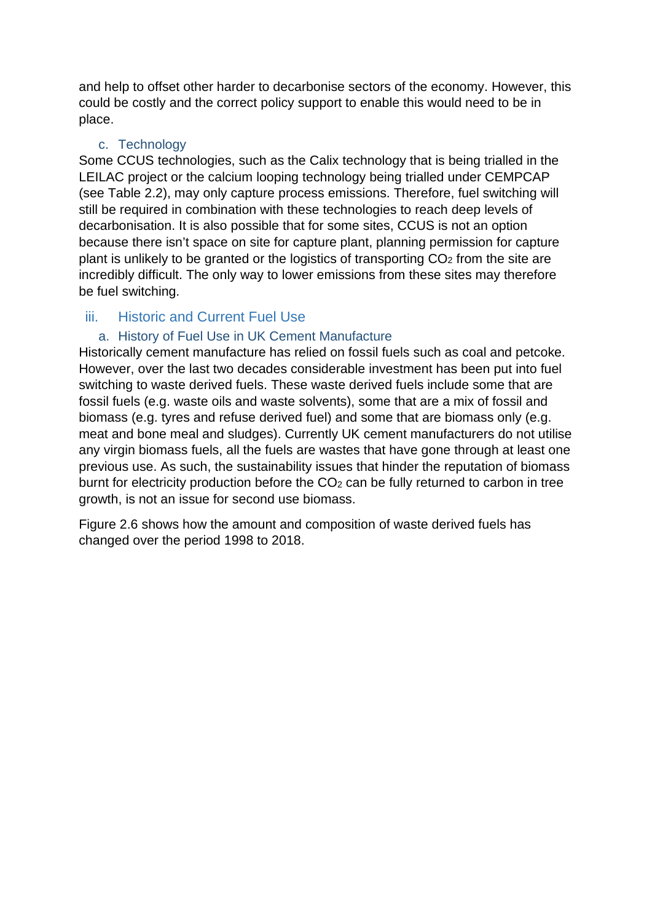and help to offset other harder to decarbonise sectors of the economy. However, this could be costly and the correct policy support to enable this would need to be in place.

#### c. Technology

<span id="page-16-0"></span>Some CCUS technologies, such as the Calix technology that is being trialled in the LEILAC project or the calcium looping technology being trialled under CEMPCAP (see [Table 2.2\)](#page-14-0), may only capture process emissions. Therefore, fuel switching will still be required in combination with these technologies to reach deep levels of decarbonisation. It is also possible that for some sites, CCUS is not an option because there isn't space on site for capture plant, planning permission for capture plant is unlikely to be granted or the logistics of transporting  $CO<sub>2</sub>$  from the site are incredibly difficult. The only way to lower emissions from these sites may therefore be fuel switching.

#### <span id="page-16-2"></span><span id="page-16-1"></span>iii. Historic and Current Fuel Use

#### a. History of Fuel Use in UK Cement Manufacture

Historically cement manufacture has relied on fossil fuels such as coal and petcoke. However, over the last two decades considerable investment has been put into fuel switching to waste derived fuels. These waste derived fuels include some that are fossil fuels (e.g. waste oils and waste solvents), some that are a mix of fossil and biomass (e.g. tyres and refuse derived fuel) and some that are biomass only (e.g. meat and bone meal and sludges). Currently UK cement manufacturers do not utilise any virgin biomass fuels, all the fuels are wastes that have gone through at least one previous use. As such, the sustainability issues that hinder the reputation of biomass burnt for electricity production before the CO<sub>2</sub> can be fully returned to carbon in tree growth, is not an issue for second use biomass.

[Figure 2.6](#page-17-2) shows how the amount and composition of waste derived fuels has changed over the period 1998 to 2018.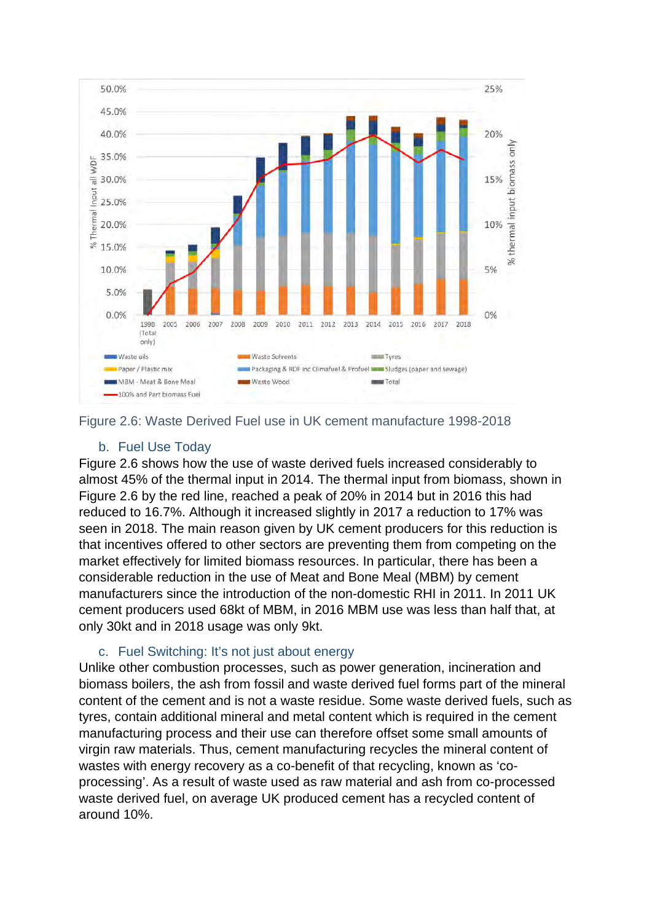

<span id="page-17-2"></span>

#### b. Fuel Use Today

<span id="page-17-0"></span>[Figure 2.6](#page-17-2) shows how the use of waste derived fuels increased considerably to almost 45% of the thermal input in 2014. The thermal input from biomass, shown in [Figure 2.6](#page-17-2) by the red line, reached a peak of 20% in 2014 but in 2016 this had reduced to 16.7%. Although it increased slightly in 2017 a reduction to 17% was seen in 2018. The main reason given by UK cement producers for this reduction is that incentives offered to other sectors are preventing them from competing on the market effectively for limited biomass resources. In particular, there has been a considerable reduction in the use of Meat and Bone Meal (MBM) by cement manufacturers since the introduction of the non-domestic RHI in 2011. In 2011 UK cement producers used 68kt of MBM, in 2016 MBM use was less than half that, at only 30kt and in 2018 usage was only 9kt.

#### c. Fuel Switching: It's not just about energy

<span id="page-17-1"></span>Unlike other combustion processes, such as power generation, incineration and biomass boilers, the ash from fossil and waste derived fuel forms part of the mineral content of the cement and is not a waste residue. Some waste derived fuels, such as tyres, contain additional mineral and metal content which is required in the cement manufacturing process and their use can therefore offset some small amounts of virgin raw materials. Thus, cement manufacturing recycles the mineral content of wastes with energy recovery as a co-benefit of that recycling, known as 'coprocessing'. As a result of waste used as raw material and ash from co-processed waste derived fuel, on average UK produced cement has a recycled content of around 10%.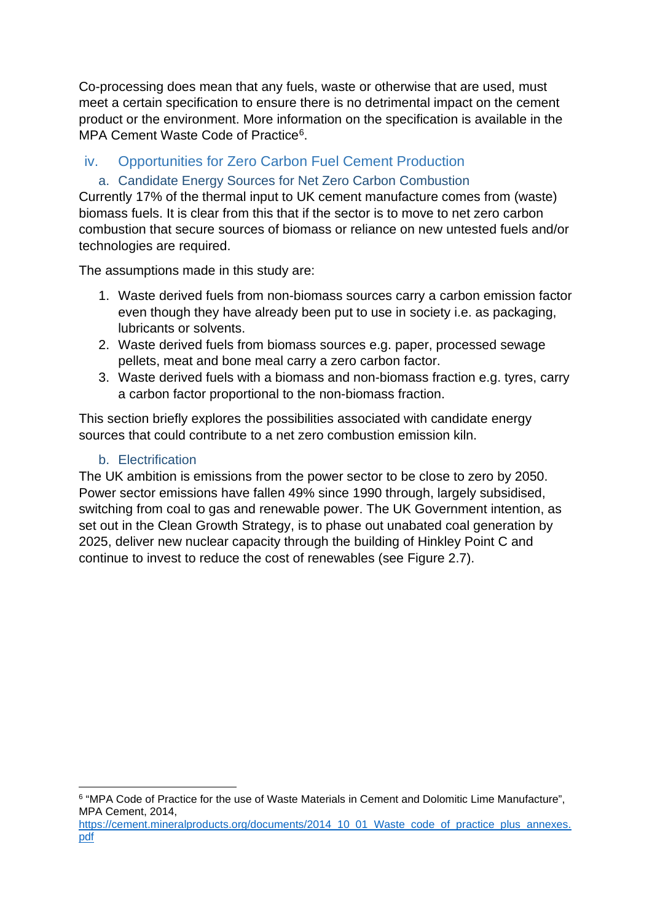Co-processing does mean that any fuels, waste or otherwise that are used, must meet a certain specification to ensure there is no detrimental impact on the cement product or the environment. More information on the specification is available in the MPA Cement Waste Code of Practice<sup>6</sup>.

#### <span id="page-18-0"></span>iv. Opportunities for Zero Carbon Fuel Cement Production

#### <span id="page-18-1"></span>a. Candidate Energy Sources for Net Zero Carbon Combustion

Currently 17% of the thermal input to UK cement manufacture comes from (waste) biomass fuels. It is clear from this that if the sector is to move to net zero carbon combustion that secure sources of biomass or reliance on new untested fuels and/or technologies are required.

The assumptions made in this study are:

- 1. Waste derived fuels from non-biomass sources carry a carbon emission factor even though they have already been put to use in society i.e. as packaging, lubricants or solvents.
- 2. Waste derived fuels from biomass sources e.g. paper, processed sewage pellets, meat and bone meal carry a zero carbon factor.
- 3. Waste derived fuels with a biomass and non-biomass fraction e.g. tyres, carry a carbon factor proportional to the non-biomass fraction.

This section briefly explores the possibilities associated with candidate energy sources that could contribute to a net zero combustion emission kiln.

#### b. Electrification

<span id="page-18-2"></span>The UK ambition is emissions from the power sector to be close to zero by 2050. Power sector emissions have fallen 49% since 1990 through, largely subsidised, switching from coal to gas and renewable power. The UK Government intention, as set out in the Clean Growth Strategy, is to phase out unabated coal generation by 2025, deliver new nuclear capacity through the building of Hinkley Point C and continue to invest to reduce the cost of renewables (see [Figure 2.7\)](#page-19-1).

<span id="page-18-3"></span><sup>6</sup> "MPA Code of Practice for the use of Waste Materials in Cement and Dolomitic Lime Manufacture", MPA Cement, 2014,

[https://cement.mineralproducts.org/documents/2014\\_10\\_01\\_Waste\\_code\\_of\\_practice\\_plus\\_annexes.](https://cement.mineralproducts.org/documents/2014_10_01_Waste_code_of_practice_plus_annexes.pdf) [pdf](https://cement.mineralproducts.org/documents/2014_10_01_Waste_code_of_practice_plus_annexes.pdf)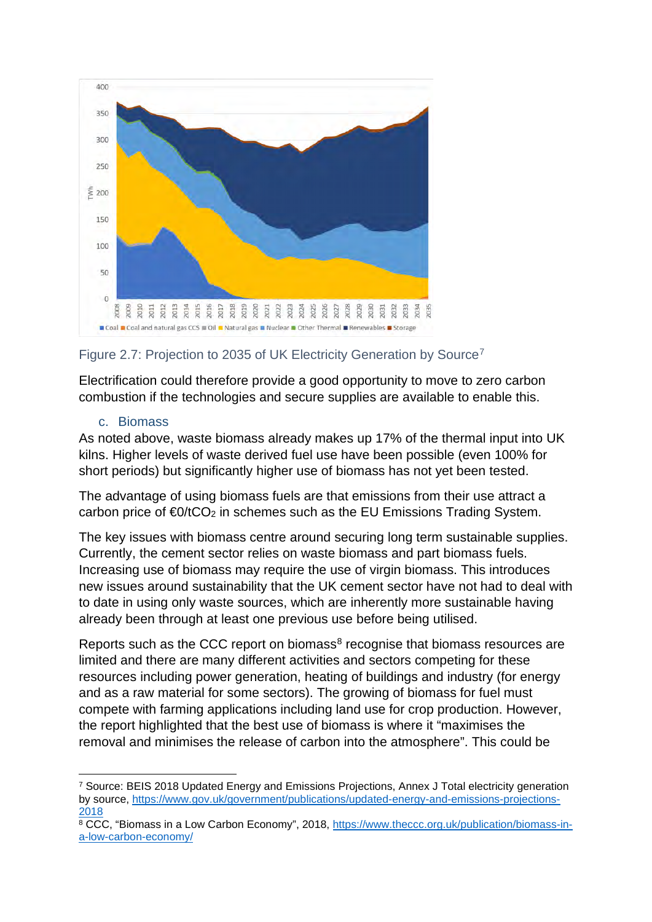

#### <span id="page-19-1"></span>Figure 2.[7](#page-19-2): Projection to 2035 of UK Electricity Generation by Source<sup>7</sup>

Electrification could therefore provide a good opportunity to move to zero carbon combustion if the technologies and secure supplies are available to enable this.

#### c. Biomass

<span id="page-19-0"></span>As noted above, waste biomass already makes up 17% of the thermal input into UK kilns. Higher levels of waste derived fuel use have been possible (even 100% for short periods) but significantly higher use of biomass has not yet been tested.

The advantage of using biomass fuels are that emissions from their use attract a carbon price of  $\epsilon_0$ /tCO<sub>2</sub> in schemes such as the EU Emissions Trading System.

The key issues with biomass centre around securing long term sustainable supplies. Currently, the cement sector relies on waste biomass and part biomass fuels. Increasing use of biomass may require the use of virgin biomass. This introduces new issues around sustainability that the UK cement sector have not had to deal with to date in using only waste sources, which are inherently more sustainable having already been through at least one previous use before being utilised.

Reports such as the CCC report on biomass $8$  recognise that biomass resources are limited and there are many different activities and sectors competing for these resources including power generation, heating of buildings and industry (for energy and as a raw material for some sectors). The growing of biomass for fuel must compete with farming applications including land use for crop production. However, the report highlighted that the best use of biomass is where it "maximises the removal and minimises the release of carbon into the atmosphere". This could be

<span id="page-19-2"></span><sup>7</sup> Source: BEIS 2018 Updated Energy and Emissions Projections, Annex J Total electricity generation by source, [https://www.gov.uk/government/publications/updated-energy-and-emissions-projections-](https://www.gov.uk/government/publications/updated-energy-and-emissions-projections-2018)

<span id="page-19-3"></span><sup>2018&</sup>lt;br><sup>8</sup> CCC, "Biomass in a Low Carbon Economy", 2018, [https://www.theccc.org.uk/publication/biomass-in](https://www.theccc.org.uk/publication/biomass-in-a-low-carbon-economy/)[a-low-carbon-economy/](https://www.theccc.org.uk/publication/biomass-in-a-low-carbon-economy/)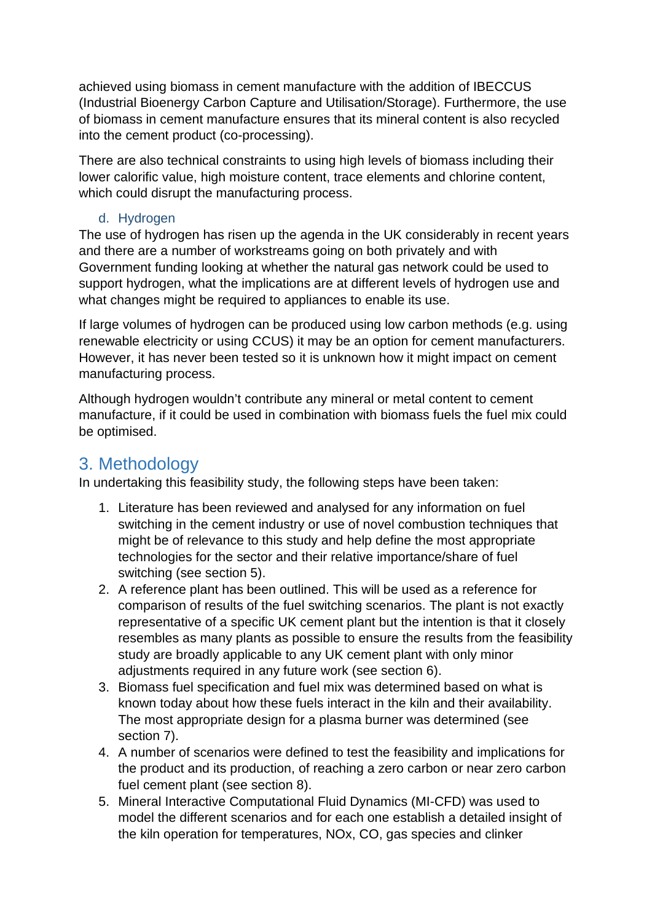achieved using biomass in cement manufacture with the addition of IBECCUS (Industrial Bioenergy Carbon Capture and Utilisation/Storage). Furthermore, the use of biomass in cement manufacture ensures that its mineral content is also recycled into the cement product (co-processing).

There are also technical constraints to using high levels of biomass including their lower calorific value, high moisture content, trace elements and chlorine content, which could disrupt the manufacturing process.

#### d. Hydrogen

<span id="page-20-0"></span>The use of hydrogen has risen up the agenda in the UK considerably in recent years and there are a number of workstreams going on both privately and with Government funding looking at whether the natural gas network could be used to support hydrogen, what the implications are at different levels of hydrogen use and what changes might be required to appliances to enable its use.

If large volumes of hydrogen can be produced using low carbon methods (e.g. using renewable electricity or using CCUS) it may be an option for cement manufacturers. However, it has never been tested so it is unknown how it might impact on cement manufacturing process.

Although hydrogen wouldn't contribute any mineral or metal content to cement manufacture, if it could be used in combination with biomass fuels the fuel mix could be optimised.

### <span id="page-20-1"></span>3. Methodology

In undertaking this feasibility study, the following steps have been taken:

- 1. Literature has been reviewed and analysed for any information on fuel switching in the cement industry or use of novel combustion techniques that might be of relevance to this study and help define the most appropriate technologies for the sector and their relative importance/share of fuel switching (see section [5\)](#page-22-1).
- 2. A reference plant has been outlined. This will be used as a reference for comparison of results of the fuel switching scenarios. The plant is not exactly representative of a specific UK cement plant but the intention is that it closely resembles as many plants as possible to ensure the results from the feasibility study are broadly applicable to any UK cement plant with only minor adjustments required in any future work (see section [6\)](#page-26-0).
- 3. Biomass fuel specification and fuel mix was determined based on what is known today about how these fuels interact in the kiln and their availability. The most appropriate design for a plasma burner was determined (see section [7\)](#page-28-0).
- 4. A number of scenarios were defined to test the feasibility and implications for the product and its production, of reaching a zero carbon or near zero carbon fuel cement plant (see section [8\)](#page-29-2).
- 5. Mineral Interactive Computational Fluid Dynamics (MI-CFD) was used to model the different scenarios and for each one establish a detailed insight of the kiln operation for temperatures, NOx, CO, gas species and clinker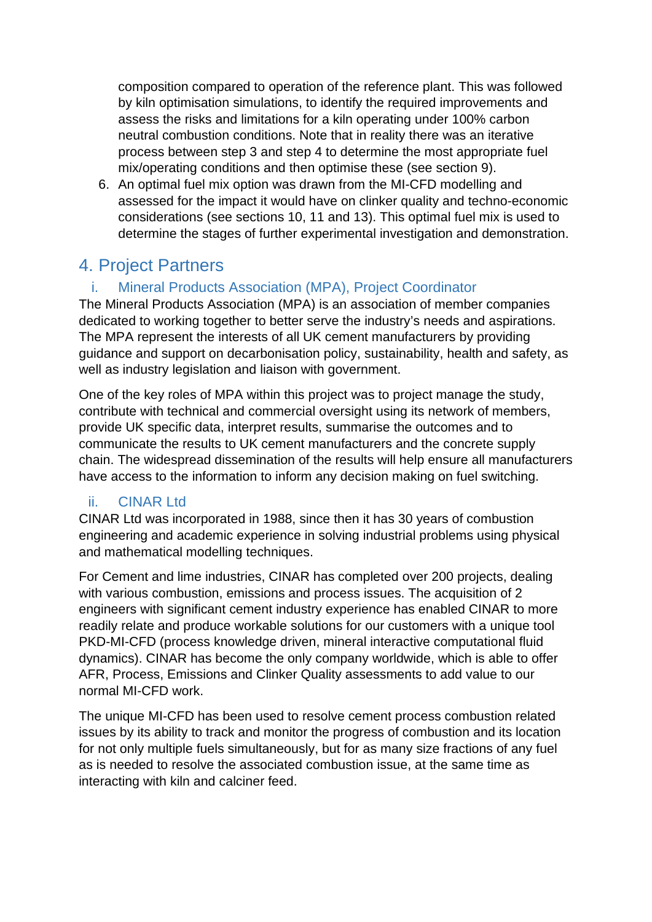composition compared to operation of the reference plant. This was followed by kiln optimisation simulations, to identify the required improvements and assess the risks and limitations for a kiln operating under 100% carbon neutral combustion conditions. Note that in reality there was an iterative process between step 3 and step 4 to determine the most appropriate fuel mix/operating conditions and then optimise these (see section [9\)](#page-31-0).

6. An optimal fuel mix option was drawn from the MI-CFD modelling and assessed for the impact it would have on clinker quality and techno-economic considerations (see sections [10,](#page-33-1) [11](#page-35-0) and [13\)](#page-37-0). This optimal fuel mix is used to determine the stages of further experimental investigation and demonstration.

# <span id="page-21-0"></span>4. Project Partners

### <span id="page-21-1"></span>i. Mineral Products Association (MPA), Project Coordinator

The Mineral Products Association (MPA) is an association of member companies dedicated to working together to better serve the industry's needs and aspirations. The MPA represent the interests of all UK cement manufacturers by providing guidance and support on decarbonisation policy, sustainability, health and safety, as well as industry legislation and liaison with government.

One of the key roles of MPA within this project was to project manage the study, contribute with technical and commercial oversight using its network of members, provide UK specific data, interpret results, summarise the outcomes and to communicate the results to UK cement manufacturers and the concrete supply chain. The widespread dissemination of the results will help ensure all manufacturers have access to the information to inform any decision making on fuel switching.

#### <span id="page-21-2"></span>ii. CINAR Ltd

CINAR Ltd was incorporated in 1988, since then it has 30 years of combustion engineering and academic experience in solving industrial problems using physical and mathematical modelling techniques.

For Cement and lime industries, CINAR has completed over 200 projects, dealing with various combustion, emissions and process issues. The acquisition of 2 engineers with significant cement industry experience has enabled CINAR to more readily relate and produce workable solutions for our customers with a unique tool PKD-MI-CFD (process knowledge driven, mineral interactive computational fluid dynamics). CINAR has become the only company worldwide, which is able to offer AFR, Process, Emissions and Clinker Quality assessments to add value to our normal MI-CFD work.

The unique MI-CFD has been used to resolve cement process combustion related issues by its ability to track and monitor the progress of combustion and its location for not only multiple fuels simultaneously, but for as many size fractions of any fuel as is needed to resolve the associated combustion issue, at the same time as interacting with kiln and calciner feed.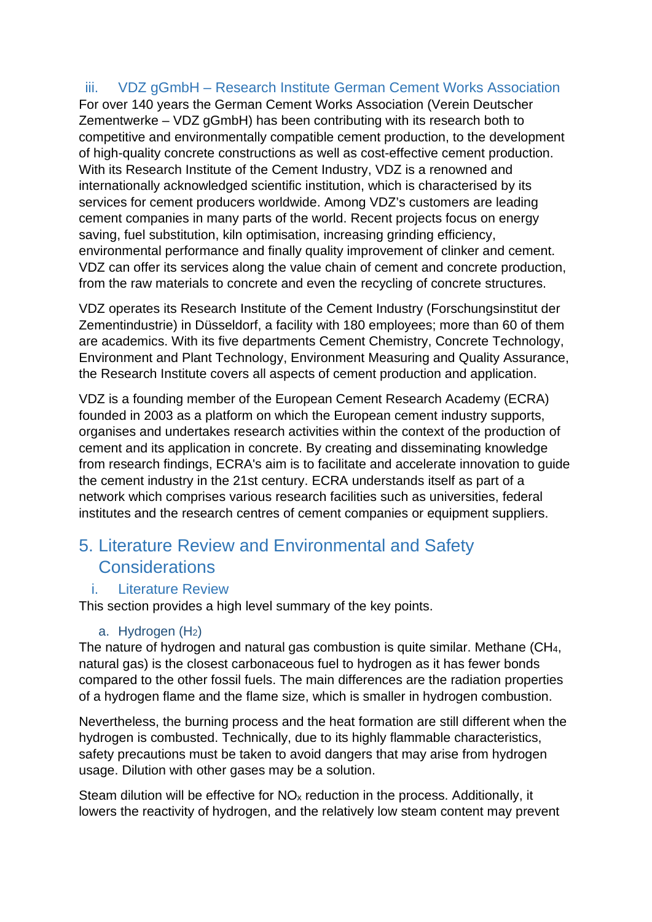#### <span id="page-22-0"></span>iii. VDZ gGmbH – Research Institute German Cement Works Association

For over 140 years the German Cement Works Association (Verein Deutscher Zementwerke – VDZ gGmbH) has been contributing with its research both to competitive and environmentally compatible cement production, to the development of high-quality concrete constructions as well as cost-effective cement production. With its Research Institute of the Cement Industry, VDZ is a renowned and internationally acknowledged scientific institution, which is characterised by its services for cement producers worldwide. Among VDZ's customers are leading cement companies in many parts of the world. Recent projects focus on energy saving, fuel substitution, kiln optimisation, increasing grinding efficiency, environmental performance and finally quality improvement of clinker and cement. VDZ can offer its services along the value chain of cement and concrete production, from the raw materials to concrete and even the recycling of concrete structures.

VDZ operates its Research Institute of the Cement Industry (Forschungsinstitut der Zementindustrie) in Düsseldorf, a facility with 180 employees; more than 60 of them are academics. With its five departments Cement Chemistry, Concrete Technology, Environment and Plant Technology, Environment Measuring and Quality Assurance, the Research Institute covers all aspects of cement production and application.

VDZ is a founding member of the European Cement Research Academy (ECRA) founded in 2003 as a platform on which the European cement industry supports, organises and undertakes research activities within the context of the production of cement and its application in concrete. By creating and disseminating knowledge from research findings, ECRA's aim is to facilitate and accelerate innovation to guide the cement industry in the 21st century. ECRA understands itself as part of a network which comprises various research facilities such as universities, federal institutes and the research centres of cement companies or equipment suppliers.

# <span id="page-22-1"></span>5. Literature Review and Environmental and Safety **Considerations**

#### <span id="page-22-2"></span>i. Literature Review

This section provides a high level summary of the key points.

#### a. Hydrogen  $(H<sub>2</sub>)$

<span id="page-22-3"></span>The nature of hydrogen and natural gas combustion is quite similar. Methane (CH4, natural gas) is the closest carbonaceous fuel to hydrogen as it has fewer bonds compared to the other fossil fuels. The main differences are the radiation properties of a hydrogen flame and the flame size, which is smaller in hydrogen combustion.

Nevertheless, the burning process and the heat formation are still different when the hydrogen is combusted. Technically, due to its highly flammable characteristics, safety precautions must be taken to avoid dangers that may arise from hydrogen usage. Dilution with other gases may be a solution.

Steam dilution will be effective for  $NO<sub>x</sub>$  reduction in the process. Additionally, it lowers the reactivity of hydrogen, and the relatively low steam content may prevent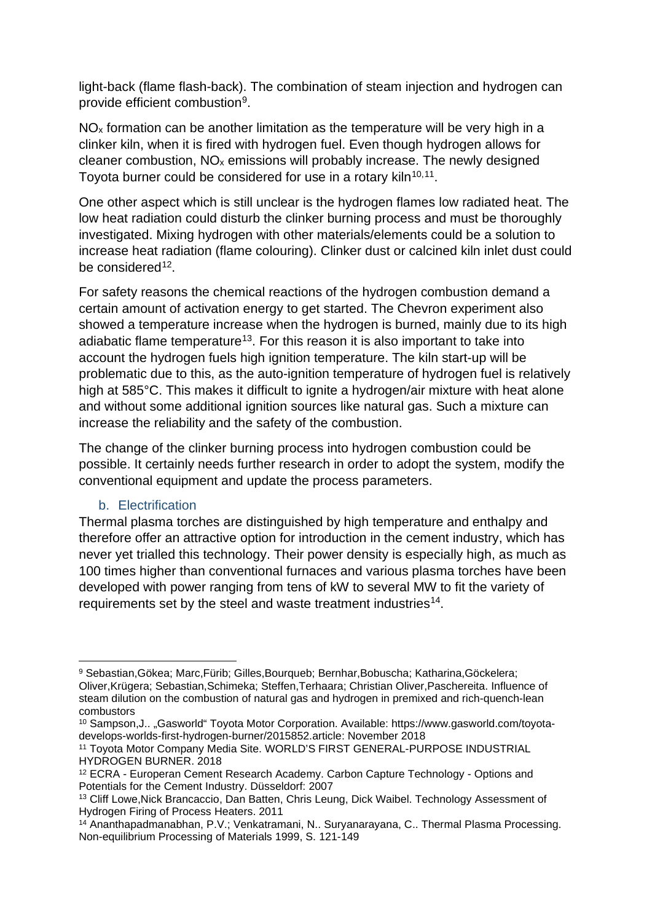light-back (flame flash-back). The combination of steam injection and hydrogen can provide efficient combustion[9.](#page-23-1)

 $NO<sub>x</sub>$  formation can be another limitation as the temperature will be very high in a clinker kiln, when it is fired with hydrogen fuel. Even though hydrogen allows for cleaner combustion,  $NO<sub>x</sub>$  emissions will probably increase. The newly designed Toyota burner could be considered for use in a rotary kiln<sup>[10,](#page-23-2)11</sup>.

One other aspect which is still unclear is the hydrogen flames low radiated heat. The low heat radiation could disturb the clinker burning process and must be thoroughly investigated. Mixing hydrogen with other materials/elements could be a solution to increase heat radiation (flame colouring). Clinker dust or calcined kiln inlet dust could be considered $12$ .

For safety reasons the chemical reactions of the hydrogen combustion demand a certain amount of activation energy to get started. The Chevron experiment also showed a temperature increase when the hydrogen is burned, mainly due to its high adiabatic flame temperature<sup>[13](#page-23-5)</sup>. For this reason it is also important to take into account the hydrogen fuels high ignition temperature. The kiln start-up will be problematic due to this, as the auto-ignition temperature of hydrogen fuel is relatively high at 585°C. This makes it difficult to ignite a hydrogen/air mixture with heat alone and without some additional ignition sources like natural gas. Such a mixture can increase the reliability and the safety of the combustion.

The change of the clinker burning process into hydrogen combustion could be possible. It certainly needs further research in order to adopt the system, modify the conventional equipment and update the process parameters.

#### b. Electrification

<span id="page-23-0"></span>Thermal plasma torches are distinguished by high temperature and enthalpy and therefore offer an attractive option for introduction in the cement industry, which has never yet trialled this technology. Their power density is especially high, as much as 100 times higher than conventional furnaces and various plasma torches have been developed with power ranging from tens of kW to several MW to fit the variety of requirements set by the steel and waste treatment industries<sup>[14](#page-23-6)</sup>.

<span id="page-23-1"></span><sup>9</sup> Sebastian,Gökea; Marc,Fürib; Gilles,Bourqueb; Bernhar,Bobuscha; Katharina,Göckelera; Oliver,Krügera; Sebastian,Schimeka; Steffen,Terhaara; Christian Oliver,Paschereita. Influence of steam dilution on the combustion of natural gas and hydrogen in premixed and rich-quench-lean combustors

<span id="page-23-2"></span><sup>&</sup>lt;sup>10</sup> Sampson, J.. "Gasworld" Toyota Motor Corporation. Available: https://www.gasworld.com/toyotadevelops-worlds-first-hydrogen-burner/2015852.article: November 2018

<span id="page-23-3"></span><sup>11</sup> Toyota Motor Company Media Site. WORLD'S FIRST GENERAL-PURPOSE INDUSTRIAL HYDROGEN BURNER. 2018

<span id="page-23-4"></span><sup>12</sup> ECRA - Europeran Cement Research Academy. Carbon Capture Technology - Options and Potentials for the Cement Industry. Düsseldorf: 2007

<span id="page-23-5"></span><sup>&</sup>lt;sup>13</sup> Cliff Lowe, Nick Brancaccio, Dan Batten, Chris Leung, Dick Waibel. Technology Assessment of Hydrogen Firing of Process Heaters. 2011

<span id="page-23-6"></span><sup>&</sup>lt;sup>14</sup> Ananthapadmanabhan, P.V.; Venkatramani, N.. Suryanarayana, C.. Thermal Plasma Processing. Non-equilibrium Processing of Materials 1999, S. 121-149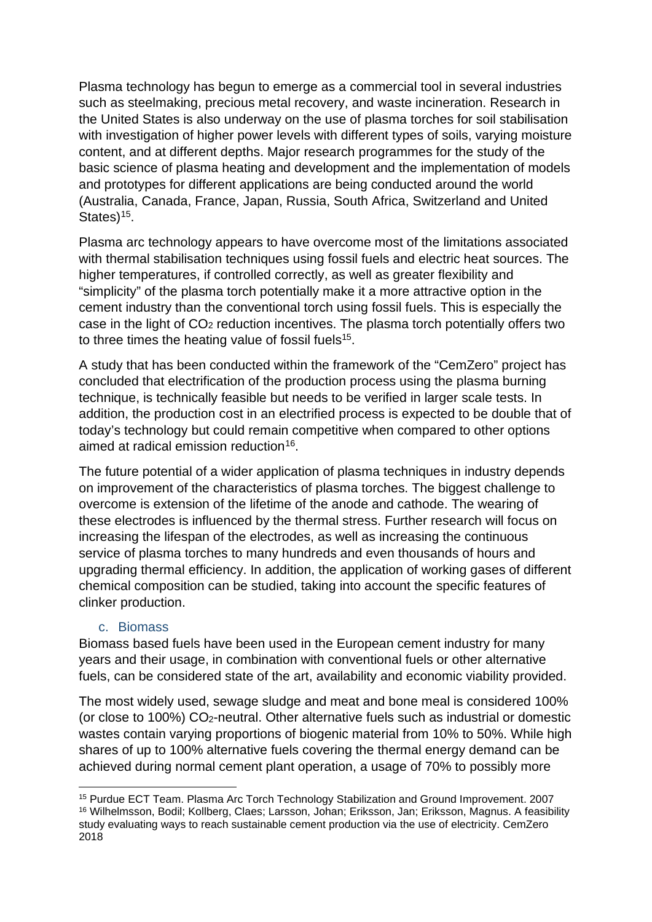Plasma technology has begun to emerge as a commercial tool in several industries such as steelmaking, precious metal recovery, and waste incineration. Research in the United States is also underway on the use of plasma torches for soil stabilisation with investigation of higher power levels with different types of soils, varying moisture content, and at different depths. Major research programmes for the study of the basic science of plasma heating and development and the implementation of models and prototypes for different applications are being conducted around the world (Australia, Canada, France, Japan, Russia, South Africa, Switzerland and United States $15<sub>15</sub>$  $15<sub>15</sub>$ .

<span id="page-24-1"></span>Plasma arc technology appears to have overcome most of the limitations associated with thermal stabilisation techniques using fossil fuels and electric heat sources. The higher temperatures, if controlled correctly, as well as greater flexibility and "simplicity" of the plasma torch potentially make it a more attractive option in the cement industry than the conventional torch using fossil fuels. This is especially the case in the light of CO2 reduction incentives. The plasma torch potentially offers two to three times the heating value of fossil fuels<sup>15</sup>.

A study that has been conducted within the framework of the "CemZero" project has concluded that electrification of the production process using the plasma burning technique, is technically feasible but needs to be verified in larger scale tests. In addition, the production cost in an electrified process is expected to be double that of today's technology but could remain competitive when compared to other options aimed at radical emission reduction<sup>16</sup>.

The future potential of a wider application of plasma techniques in industry depends on improvement of the characteristics of plasma torches. The biggest challenge to overcome is extension of the lifetime of the anode and cathode. The wearing of these electrodes is influenced by the thermal stress. Further research will focus on increasing the lifespan of the electrodes, as well as increasing the continuous service of plasma torches to many hundreds and even thousands of hours and upgrading thermal efficiency. In addition, the application of working gases of different chemical composition can be studied, taking into account the specific features of clinker production.

#### c. Biomass

<span id="page-24-0"></span>Biomass based fuels have been used in the European cement industry for many years and their usage, in combination with conventional fuels or other alternative fuels, can be considered state of the art, availability and economic viability provided.

The most widely used, sewage sludge and meat and bone meal is considered 100% (or close to 100%) CO2-neutral. Other alternative fuels such as industrial or domestic wastes contain varying proportions of biogenic material from 10% to 50%. While high shares of up to 100% alternative fuels covering the thermal energy demand can be achieved during normal cement plant operation, a usage of 70% to possibly more

<span id="page-24-3"></span><span id="page-24-2"></span><sup>15</sup> Purdue ECT Team. Plasma Arc Torch Technology Stabilization and Ground Improvement. 2007 <sup>16</sup> Wilhelmsson, Bodil; Kollberg, Claes; Larsson, Johan; Eriksson, Jan; Eriksson, Magnus. A feasibility study evaluating ways to reach sustainable cement production via the use of electricity. CemZero 2018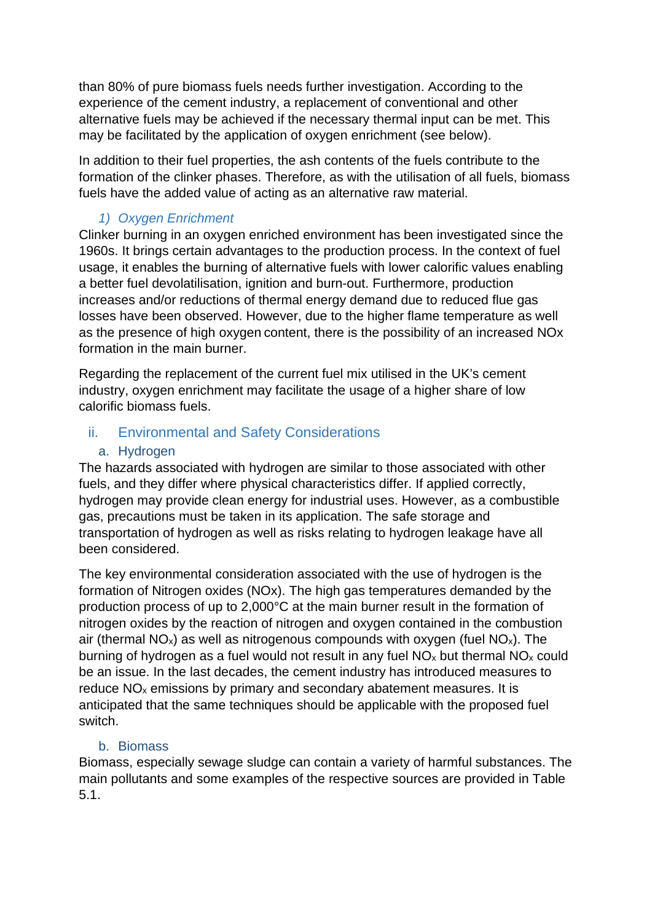than 80% of pure biomass fuels needs further investigation. According to the experience of the cement industry, a replacement of conventional and other alternative fuels may be achieved if the necessary thermal input can be met. This may be facilitated by the application of oxygen enrichment (see below).

In addition to their fuel properties, the ash contents of the fuels contribute to the formation of the clinker phases. Therefore, as with the utilisation of all fuels, biomass fuels have the added value of acting as an alternative raw material.

#### *1) Oxygen Enrichment*

Clinker burning in an oxygen enriched environment has been investigated since the 1960s. It brings certain advantages to the production process. In the context of fuel usage, it enables the burning of alternative fuels with lower calorific values enabling a better fuel devolatilisation, ignition and burn-out. Furthermore, production increases and/or reductions of thermal energy demand due to reduced flue gas losses have been observed. However, due to the higher flame temperature as well as the presence of high oxygen content, there is the possibility of an increased NOx formation in the main burner.

Regarding the replacement of the current fuel mix utilised in the UK's cement industry, oxygen enrichment may facilitate the usage of a higher share of low calorific biomass fuels.

#### <span id="page-25-0"></span>ii. Environmental and Safety Considerations

#### a. Hydrogen

<span id="page-25-1"></span>The hazards associated with hydrogen are similar to those associated with other fuels, and they differ where physical characteristics differ. If applied correctly, hydrogen may provide clean energy for industrial uses. However, as a combustible gas, precautions must be taken in its application. The safe storage and transportation of hydrogen as well as risks relating to hydrogen leakage have all been considered.

The key environmental consideration associated with the use of hydrogen is the formation of Nitrogen oxides (NOx). The high gas temperatures demanded by the production process of up to 2,000°C at the main burner result in the formation of nitrogen oxides by the reaction of nitrogen and oxygen contained in the combustion air (thermal  $NO_x$ ) as well as nitrogenous compounds with oxygen (fuel  $NO_x$ ). The burning of hydrogen as a fuel would not result in any fuel  $NO<sub>x</sub>$  but thermal  $NO<sub>x</sub>$  could be an issue. In the last decades, the cement industry has introduced measures to reduce  $NO<sub>x</sub>$  emissions by primary and secondary abatement measures. It is anticipated that the same techniques should be applicable with the proposed fuel switch.

#### b. Biomass

<span id="page-25-2"></span>Biomass, especially sewage sludge can contain a variety of harmful substances. The main pollutants and some examples of the respective sources are provided in [Table](#page-26-2)  [5.1.](#page-26-2)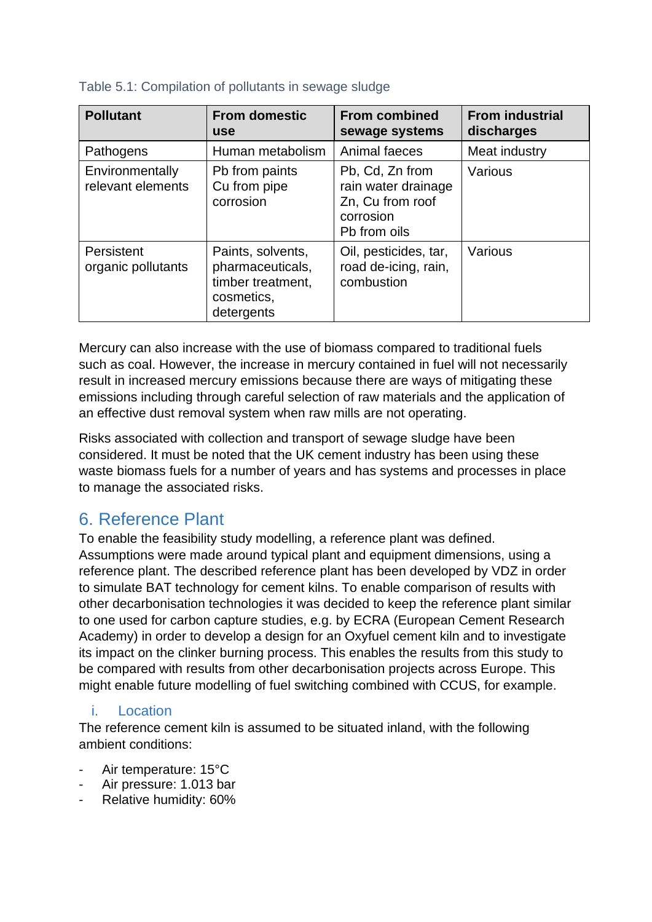| <b>Pollutant</b>                     | <b>From domestic</b><br><b>use</b>                                                     | <b>From combined</b><br>sewage systems                                                  | <b>From industrial</b><br>discharges |
|--------------------------------------|----------------------------------------------------------------------------------------|-----------------------------------------------------------------------------------------|--------------------------------------|
| Pathogens                            | Human metabolism                                                                       | Animal faeces                                                                           | Meat industry                        |
| Environmentally<br>relevant elements | Pb from paints<br>Cu from pipe<br>corrosion                                            | Pb, Cd, Zn from<br>rain water drainage<br>Zn, Cu from roof<br>corrosion<br>Pb from oils | Various                              |
| Persistent<br>organic pollutants     | Paints, solvents,<br>pharmaceuticals,<br>timber treatment,<br>cosmetics,<br>detergents | Oil, pesticides, tar,<br>road de-icing, rain,<br>combustion                             | Various                              |

#### <span id="page-26-2"></span>Table 5.1: Compilation of pollutants in sewage sludge

Mercury can also increase with the use of biomass compared to traditional fuels such as coal. However, the increase in mercury contained in fuel will not necessarily result in increased mercury emissions because there are ways of mitigating these emissions including through careful selection of raw materials and the application of an effective dust removal system when raw mills are not operating.

Risks associated with collection and transport of sewage sludge have been considered. It must be noted that the UK cement industry has been using these waste biomass fuels for a number of years and has systems and processes in place to manage the associated risks.

# <span id="page-26-0"></span>6. Reference Plant

To enable the feasibility study modelling, a reference plant was defined. Assumptions were made around typical plant and equipment dimensions, using a reference plant. The described reference plant has been developed by VDZ in order to simulate BAT technology for cement kilns. To enable comparison of results with other decarbonisation technologies it was decided to keep the reference plant similar to one used for carbon capture studies, e.g. by ECRA (European Cement Research Academy) in order to develop a design for an Oxyfuel cement kiln and to investigate its impact on the clinker burning process. This enables the results from this study to be compared with results from other decarbonisation projects across Europe. This might enable future modelling of fuel switching combined with CCUS, for example.

#### <span id="page-26-1"></span>i. Location

The reference cement kiln is assumed to be situated inland, with the following ambient conditions:

- Air temperature: 15°C
- Air pressure: 1.013 bar
- Relative humidity: 60%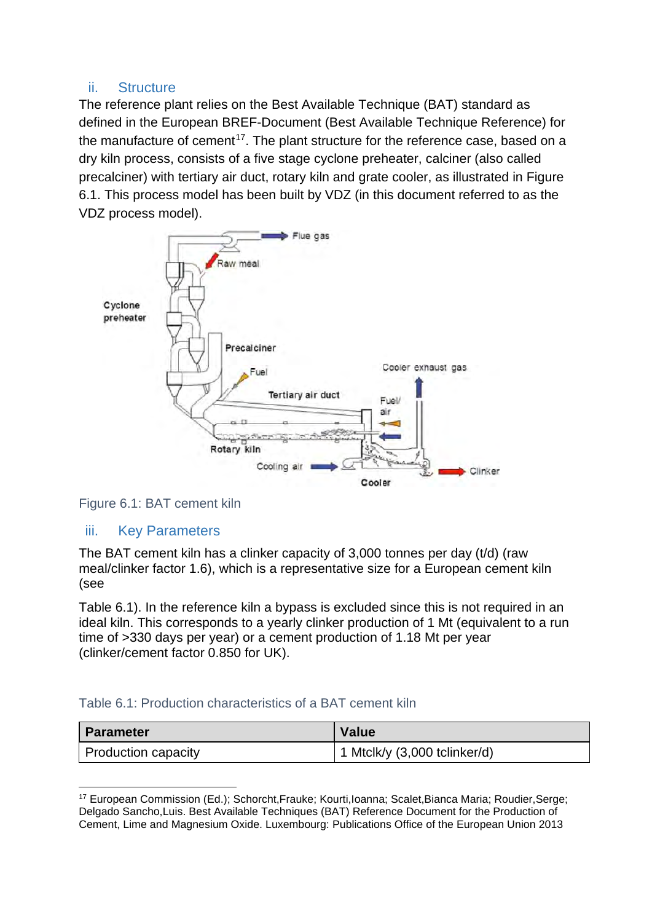#### <span id="page-27-0"></span>ii. Structure

The reference plant relies on the Best Available Technique (BAT) standard as defined in the European BREF-Document (Best Available Technique Reference) for the manufacture of cement<sup>[17](#page-27-4)</sup>. The plant structure for the reference case, based on a dry kiln process, consists of a five stage cyclone preheater, calciner (also called precalciner) with tertiary air duct, rotary kiln and grate cooler, as illustrated in [Figure](#page-27-2)  [6.1.](#page-27-2) This process model has been built by VDZ (in this document referred to as the VDZ process model).



<span id="page-27-2"></span>Figure 6.1: BAT cement kiln

#### <span id="page-27-1"></span>iii. Key Parameters

The BAT cement kiln has a clinker capacity of 3,000 tonnes per day (t/d) (raw mea[l/clinker factor 1.6\), which is a representative size for a European cement kiln](#page-27-3)  (see

[Table 6.1\)](#page-27-3). In the reference kiln a bypass is excluded since this is not required in an ideal kiln. This corresponds to a yearly clinker production of 1 Mt (equivalent to a run time of >330 days per year) or a cement production of 1.18 Mt per year (clinker/cement factor 0.850 for UK).

#### <span id="page-27-3"></span>Table 6.1: Production characteristics of a BAT cement kiln

| <b>Parameter</b>    | <b>Value</b>                         |
|---------------------|--------------------------------------|
| Production capacity | $\vert$ 1 Mtclk/y (3,000 tclinker/d) |

<span id="page-27-4"></span><sup>17</sup> European Commission (Ed.); Schorcht,Frauke; Kourti,Ioanna; Scalet,Bianca Maria; Roudier,Serge; Delgado Sancho,Luis. Best Available Techniques (BAT) Reference Document for the Production of Cement, Lime and Magnesium Oxide. Luxembourg: Publications Office of the European Union 2013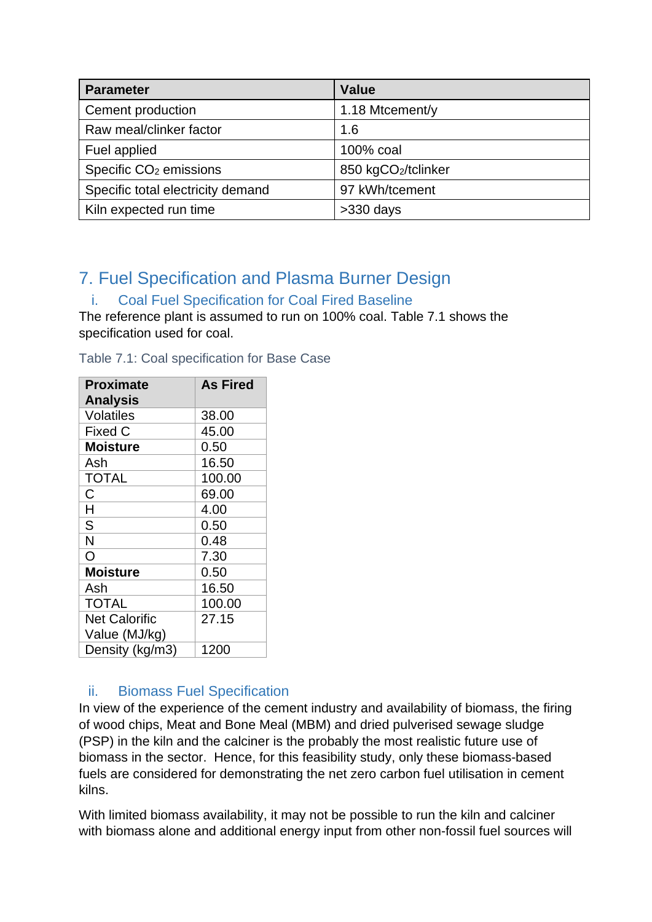| <b>Parameter</b>                   | <b>Value</b>       |  |
|------------------------------------|--------------------|--|
| Cement production                  | 1.18 Mtcement/y    |  |
| Raw meal/clinker factor            | 1.6                |  |
| Fuel applied                       | 100% coal          |  |
| Specific CO <sub>2</sub> emissions | 850 kgCO2/tclinker |  |
| Specific total electricity demand  | 97 kWh/tcement     |  |
| Kiln expected run time             | $>330$ days        |  |

# <span id="page-28-0"></span>7. Fuel Specification and Plasma Burner Design

### <span id="page-28-1"></span>i. Coal Fuel Specification for Coal Fired Baseline

The reference plant is assumed to run on 100% coal. [Table 7.1](#page-28-3) shows the specification used for coal.

<span id="page-28-3"></span>Table 7.1: Coal specification for Base Case

| <b>Proximate</b><br><b>Analysis</b> | <b>As Fired</b> |
|-------------------------------------|-----------------|
| <b>Volatiles</b>                    | 38.00           |
| <b>Fixed C</b>                      | 45.00           |
| <b>Moisture</b>                     | 0.50            |
| Ash                                 | 16.50           |
| <b>TOTAL</b>                        | 100.00          |
| C                                   | 69.00           |
| H                                   | 4.00            |
| S                                   | 0.50            |
| N                                   | 0.48            |
| O                                   | 7.30            |
| <b>Moisture</b>                     | 0.50            |
| Ash                                 | 16.50           |
| <b>TOTAL</b>                        | 100.00          |
| <b>Net Calorific</b>                | 27.15           |
| Value (MJ/kg)                       |                 |
| Density (kg/m3)                     | 1200            |

#### <span id="page-28-2"></span>ii. Biomass Fuel Specification

In view of the experience of the cement industry and availability of biomass, the firing of wood chips, Meat and Bone Meal (MBM) and dried pulverised sewage sludge (PSP) in the kiln and the calciner is the probably the most realistic future use of biomass in the sector. Hence, for this feasibility study, only these biomass-based fuels are considered for demonstrating the net zero carbon fuel utilisation in cement kilns.

With limited biomass availability, it may not be possible to run the kiln and calciner with biomass alone and additional energy input from other non-fossil fuel sources will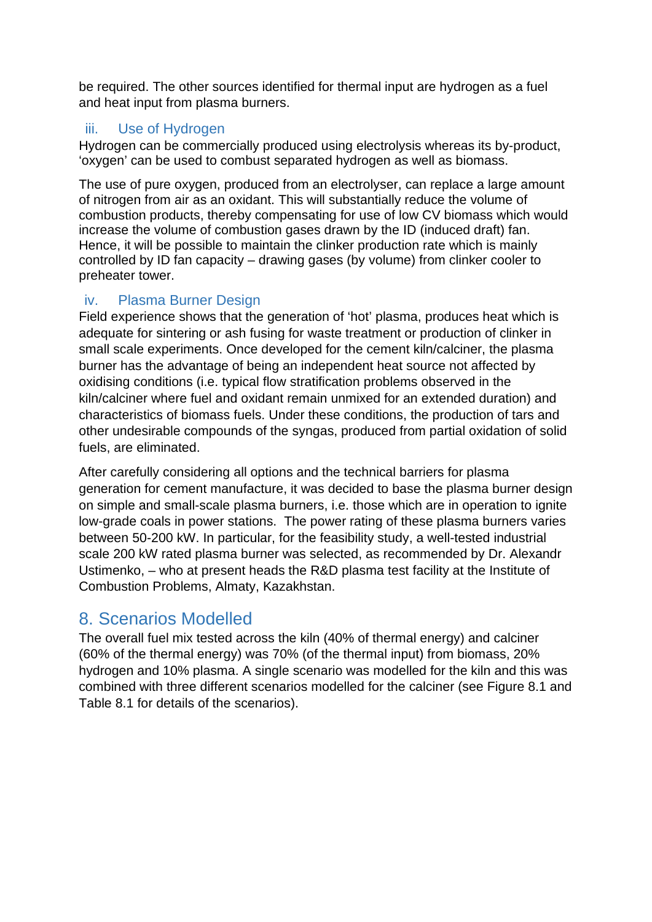be required. The other sources identified for thermal input are hydrogen as a fuel and heat input from plasma burners.

#### <span id="page-29-0"></span>iii. Use of Hydrogen

Hydrogen can be commercially produced using electrolysis whereas its by-product, 'oxygen' can be used to combust separated hydrogen as well as biomass.

The use of pure oxygen, produced from an electrolyser, can replace a large amount of nitrogen from air as an oxidant. This will substantially reduce the volume of combustion products, thereby compensating for use of low CV biomass which would increase the volume of combustion gases drawn by the ID (induced draft) fan. Hence, it will be possible to maintain the clinker production rate which is mainly controlled by ID fan capacity – drawing gases (by volume) from clinker cooler to preheater tower.

#### <span id="page-29-1"></span>iv. Plasma Burner Design

Field experience shows that the generation of 'hot' plasma, produces heat which is adequate for sintering or ash fusing for waste treatment or production of clinker in small scale experiments. Once developed for the cement kiln/calciner, the plasma burner has the advantage of being an independent heat source not affected by oxidising conditions (i.e. typical flow stratification problems observed in the kiln/calciner where fuel and oxidant remain unmixed for an extended duration) and characteristics of biomass fuels. Under these conditions, the production of tars and other undesirable compounds of the syngas, produced from partial oxidation of solid fuels, are eliminated.

After carefully considering all options and the technical barriers for plasma generation for cement manufacture, it was decided to base the plasma burner design on simple and small-scale plasma burners, i.e. those which are in operation to ignite low-grade coals in power stations. The power rating of these plasma burners varies between 50-200 kW. In particular, for the feasibility study, a well-tested industrial scale 200 kW rated plasma burner was selected, as recommended by Dr. Alexandr Ustimenko, – who at present heads the R&D plasma test facility at the Institute of Combustion Problems, Almaty, Kazakhstan.

# <span id="page-29-2"></span>8. Scenarios Modelled

The overall fuel mix tested across the kiln (40% of thermal energy) and calciner (60% of the thermal energy) was 70% (of the thermal input) from biomass, 20% hydrogen and 10% plasma. A single scenario was modelled for the kiln and this was combined with three different scenarios modelled for the calciner (see [Figure 8.1](#page-30-0) and [Table 8.1](#page-30-1) for details of the scenarios).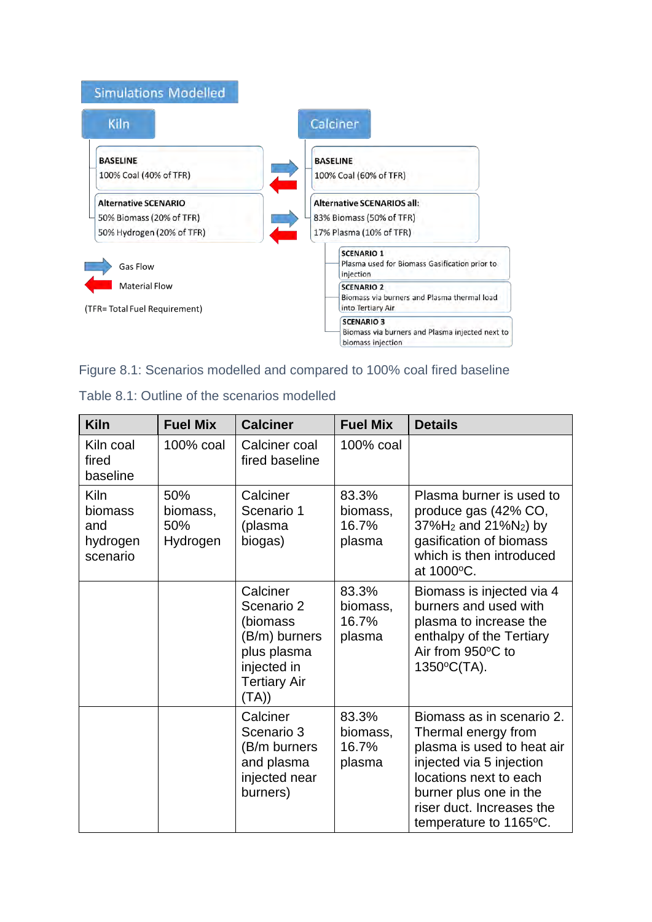

#### <span id="page-30-0"></span>Figure 8.1: Scenarios modelled and compared to 100% coal fired baseline

| <b>Kiln</b>                                           | <b>Fuel Mix</b>                    | <b>Calciner</b>                                                                                                   | <b>Fuel Mix</b>                      | <b>Details</b>                                                                                                                                                                                                        |
|-------------------------------------------------------|------------------------------------|-------------------------------------------------------------------------------------------------------------------|--------------------------------------|-----------------------------------------------------------------------------------------------------------------------------------------------------------------------------------------------------------------------|
| Kiln coal<br>fired<br>baseline                        | 100% coal                          | Calciner coal<br>fired baseline                                                                                   | 100% coal                            |                                                                                                                                                                                                                       |
| <b>Kiln</b><br>biomass<br>and<br>hydrogen<br>scenario | 50%<br>biomass,<br>50%<br>Hydrogen | Calciner<br>Scenario 1<br>(plasma<br>biogas)                                                                      | 83.3%<br>biomass,<br>16.7%<br>plasma | Plasma burner is used to<br>produce gas (42% CO,<br>37%H <sub>2</sub> and 21%N <sub>2</sub> ) by<br>gasification of biomass<br>which is then introduced<br>at 1000°C.                                                 |
|                                                       |                                    | Calciner<br>Scenario 2<br>(biomass<br>(B/m) burners<br>plus plasma<br>injected in<br><b>Tertiary Air</b><br>(TA)) | 83.3%<br>biomass,<br>16.7%<br>plasma | Biomass is injected via 4<br>burners and used with<br>plasma to increase the<br>enthalpy of the Tertiary<br>Air from 950°C to<br>1350°C(TA).                                                                          |
|                                                       |                                    | Calciner<br>Scenario 3<br>(B/m burners<br>and plasma<br>injected near<br>burners)                                 | 83.3%<br>biomass,<br>16.7%<br>plasma | Biomass as in scenario 2.<br>Thermal energy from<br>plasma is used to heat air<br>injected via 5 injection<br>locations next to each<br>burner plus one in the<br>riser duct. Increases the<br>temperature to 1165°C. |

<span id="page-30-1"></span>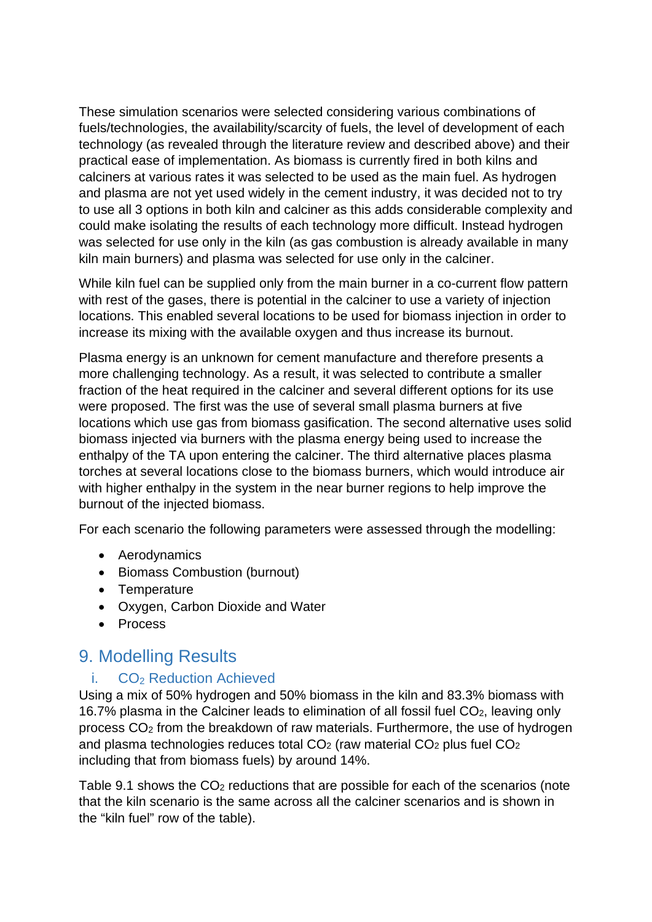These simulation scenarios were selected considering various combinations of fuels/technologies, the availability/scarcity of fuels, the level of development of each technology (as revealed through the literature review and described above) and their practical ease of implementation. As biomass is currently fired in both kilns and calciners at various rates it was selected to be used as the main fuel. As hydrogen and plasma are not yet used widely in the cement industry, it was decided not to try to use all 3 options in both kiln and calciner as this adds considerable complexity and could make isolating the results of each technology more difficult. Instead hydrogen was selected for use only in the kiln (as gas combustion is already available in many kiln main burners) and plasma was selected for use only in the calciner.

While kiln fuel can be supplied only from the main burner in a co-current flow pattern with rest of the gases, there is potential in the calciner to use a variety of injection locations. This enabled several locations to be used for biomass injection in order to increase its mixing with the available oxygen and thus increase its burnout.

Plasma energy is an unknown for cement manufacture and therefore presents a more challenging technology. As a result, it was selected to contribute a smaller fraction of the heat required in the calciner and several different options for its use were proposed. The first was the use of several small plasma burners at five locations which use gas from biomass gasification. The second alternative uses solid biomass injected via burners with the plasma energy being used to increase the enthalpy of the TA upon entering the calciner. The third alternative places plasma torches at several locations close to the biomass burners, which would introduce air with higher enthalpy in the system in the near burner regions to help improve the burnout of the injected biomass.

For each scenario the following parameters were assessed through the modelling:

- Aerodynamics
- Biomass Combustion (burnout)
- Temperature
- Oxygen, Carbon Dioxide and Water
- Process

### <span id="page-31-0"></span>9. Modelling Results

#### <span id="page-31-1"></span>i. CO<sub>2</sub> Reduction Achieved

Using a mix of 50% hydrogen and 50% biomass in the kiln and 83.3% biomass with 16.7% plasma in the Calciner leads to elimination of all fossil fuel CO2, leaving only process CO2 from the breakdown of raw materials. Furthermore, the use of hydrogen and plasma technologies reduces total CO2 (raw material CO2 plus fuel CO2 including that from biomass fuels) by around 14%.

[Table 9.1](#page-32-2) shows the CO<sub>2</sub> reductions that are possible for each of the scenarios (note that the kiln scenario is the same across all the calciner scenarios and is shown in the "kiln fuel" row of the table).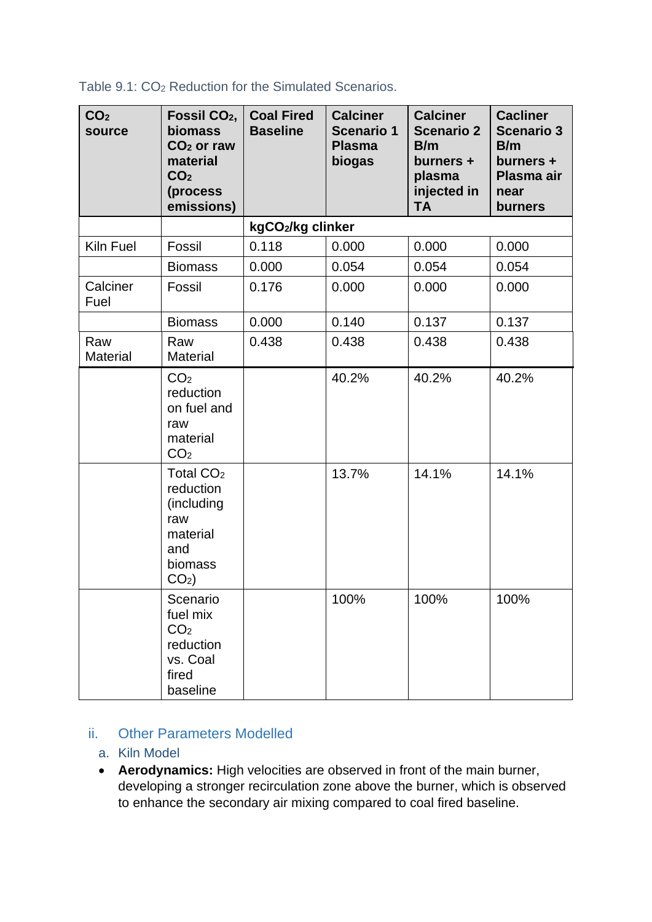| CO <sub>2</sub><br>source | Fossil CO <sub>2</sub> ,<br><b>biomass</b><br>$CO2$ or raw<br>material<br>CO <sub>2</sub><br>(process<br>emissions) | <b>Coal Fired</b><br><b>Baseline</b> | <b>Calciner</b><br><b>Scenario 1</b><br><b>Plasma</b><br>biogas | <b>Calciner</b><br><b>Scenario 2</b><br>B/m<br>burners +<br>plasma<br>injected in<br><b>TA</b> | <b>Cacliner</b><br><b>Scenario 3</b><br>B/m<br>burners +<br>Plasma air<br>near<br>burners |
|---------------------------|---------------------------------------------------------------------------------------------------------------------|--------------------------------------|-----------------------------------------------------------------|------------------------------------------------------------------------------------------------|-------------------------------------------------------------------------------------------|
|                           |                                                                                                                     | kgCO2/kg clinker                     |                                                                 |                                                                                                |                                                                                           |
| Kiln Fuel                 | Fossil                                                                                                              | 0.118                                | 0.000                                                           | 0.000                                                                                          | 0.000                                                                                     |
|                           | <b>Biomass</b>                                                                                                      | 0.000                                | 0.054                                                           | 0.054                                                                                          | 0.054                                                                                     |
| Calciner<br>Fuel          | Fossil                                                                                                              | 0.176                                | 0.000                                                           | 0.000                                                                                          | 0.000                                                                                     |
|                           | <b>Biomass</b>                                                                                                      | 0.000                                | 0.140                                                           | 0.137                                                                                          | 0.137                                                                                     |
| Raw<br><b>Material</b>    | Raw<br><b>Material</b>                                                                                              | 0.438                                | 0.438                                                           | 0.438                                                                                          | 0.438                                                                                     |
|                           | CO <sub>2</sub><br>reduction<br>on fuel and<br>raw<br>material<br>CO <sub>2</sub>                                   |                                      | 40.2%                                                           | 40.2%                                                                                          | 40.2%                                                                                     |
|                           | Total CO <sub>2</sub><br>reduction<br>(including<br>raw<br>material<br>and<br>biomass<br>$CO2$ )                    |                                      | 13.7%                                                           | 14.1%                                                                                          | 14.1%                                                                                     |
|                           | Scenario<br>fuel mix<br>CO <sub>2</sub><br>reduction<br>vs. Coal<br>fired<br>baseline                               |                                      | 100%                                                            | 100%                                                                                           | 100%                                                                                      |

#### <span id="page-32-2"></span>Table 9.1: CO2 Reduction for the Simulated Scenarios.

#### <span id="page-32-1"></span><span id="page-32-0"></span>ii. Other Parameters Modelled

#### a. Kiln Model

• **Aerodynamics:** High velocities are observed in front of the main burner, developing a stronger recirculation zone above the burner, which is observed to enhance the secondary air mixing compared to coal fired baseline.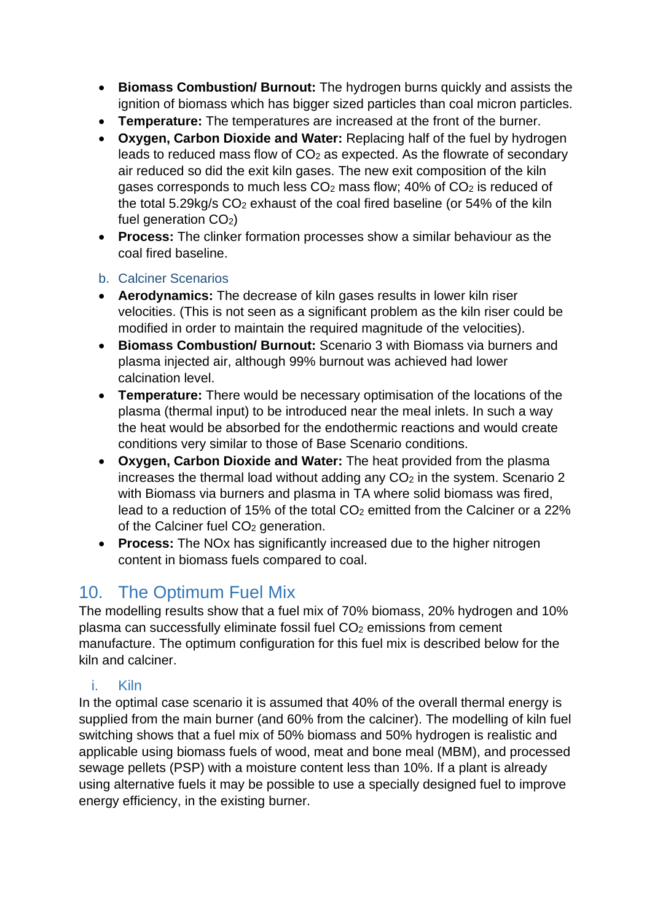- **Biomass Combustion/ Burnout:** The hydrogen burns quickly and assists the ignition of biomass which has bigger sized particles than coal micron particles.
- **Temperature:** The temperatures are increased at the front of the burner.
- **Oxygen, Carbon Dioxide and Water:** Replacing half of the fuel by hydrogen leads to reduced mass flow of CO<sub>2</sub> as expected. As the flowrate of secondary air reduced so did the exit kiln gases. The new exit composition of the kiln gases corresponds to much less CO<sub>2</sub> mass flow; 40% of CO<sub>2</sub> is reduced of the total 5.29kg/s CO2 exhaust of the coal fired baseline (or 54% of the kiln fuel generation  $CO<sub>2</sub>$ )
- **Process:** The clinker formation processes show a similar behaviour as the coal fired baseline.

#### <span id="page-33-0"></span>b. Calciner Scenarios

- **Aerodynamics:** The decrease of kiln gases results in lower kiln riser velocities. (This is not seen as a significant problem as the kiln riser could be modified in order to maintain the required magnitude of the velocities).
- **Biomass Combustion/ Burnout:** Scenario 3 with Biomass via burners and plasma injected air, although 99% burnout was achieved had lower calcination level.
- **Temperature:** There would be necessary optimisation of the locations of the plasma (thermal input) to be introduced near the meal inlets. In such a way the heat would be absorbed for the endothermic reactions and would create conditions very similar to those of Base Scenario conditions.
- **Oxygen, Carbon Dioxide and Water:** The heat provided from the plasma increases the thermal load without adding any  $CO<sub>2</sub>$  in the system. Scenario 2 with Biomass via burners and plasma in TA where solid biomass was fired, lead to a reduction of 15% of the total  $CO<sub>2</sub>$  emitted from the Calciner or a 22% of the Calciner fuel CO<sub>2</sub> generation.
- **Process:** The NOx has significantly increased due to the higher nitrogen content in biomass fuels compared to coal.

# <span id="page-33-1"></span>10. The Optimum Fuel Mix

The modelling results show that a fuel mix of 70% biomass, 20% hydrogen and 10% plasma can successfully eliminate fossil fuel CO<sub>2</sub> emissions from cement manufacture. The optimum configuration for this fuel mix is described below for the kiln and calciner.

#### <span id="page-33-2"></span>i. Kiln

In the optimal case scenario it is assumed that 40% of the overall thermal energy is supplied from the main burner (and 60% from the calciner). The modelling of kiln fuel switching shows that a fuel mix of 50% biomass and 50% hydrogen is realistic and applicable using biomass fuels of wood, meat and bone meal (MBM), and processed sewage pellets (PSP) with a moisture content less than 10%. If a plant is already using alternative fuels it may be possible to use a specially designed fuel to improve energy efficiency, in the existing burner.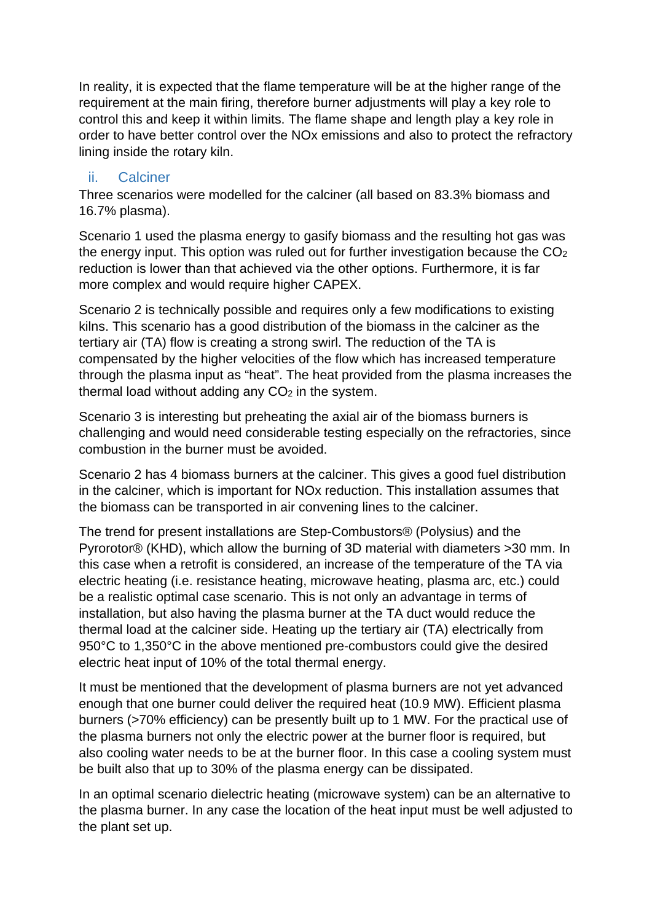In reality, it is expected that the flame temperature will be at the higher range of the requirement at the main firing, therefore burner adjustments will play a key role to control this and keep it within limits. The flame shape and length play a key role in order to have better control over the NOx emissions and also to protect the refractory lining inside the rotary kiln.

#### <span id="page-34-0"></span>ii. Calciner

Three scenarios were modelled for the calciner (all based on 83.3% biomass and 16.7% plasma).

Scenario 1 used the plasma energy to gasify biomass and the resulting hot gas was the energy input. This option was ruled out for further investigation because the CO<sub>2</sub> reduction is lower than that achieved via the other options. Furthermore, it is far more complex and would require higher CAPEX.

Scenario 2 is technically possible and requires only a few modifications to existing kilns. This scenario has a good distribution of the biomass in the calciner as the tertiary air (TA) flow is creating a strong swirl. The reduction of the TA is compensated by the higher velocities of the flow which has increased temperature through the plasma input as "heat". The heat provided from the plasma increases the thermal load without adding any  $CO<sub>2</sub>$  in the system.

Scenario 3 is interesting but preheating the axial air of the biomass burners is challenging and would need considerable testing especially on the refractories, since combustion in the burner must be avoided.

Scenario 2 has 4 biomass burners at the calciner. This gives a good fuel distribution in the calciner, which is important for NOx reduction. This installation assumes that the biomass can be transported in air convening lines to the calciner.

The trend for present installations are Step-Combustors® (Polysius) and the Pyrorotor® (KHD), which allow the burning of 3D material with diameters >30 mm. In this case when a retrofit is considered, an increase of the temperature of the TA via electric heating (i.e. resistance heating, microwave heating, plasma arc, etc.) could be a realistic optimal case scenario. This is not only an advantage in terms of installation, but also having the plasma burner at the TA duct would reduce the thermal load at the calciner side. Heating up the tertiary air (TA) electrically from 950°C to 1,350°C in the above mentioned pre-combustors could give the desired electric heat input of 10% of the total thermal energy.

It must be mentioned that the development of plasma burners are not yet advanced enough that one burner could deliver the required heat (10.9 MW). Efficient plasma burners (>70% efficiency) can be presently built up to 1 MW. For the practical use of the plasma burners not only the electric power at the burner floor is required, but also cooling water needs to be at the burner floor. In this case a cooling system must be built also that up to 30% of the plasma energy can be dissipated.

In an optimal scenario dielectric heating (microwave system) can be an alternative to the plasma burner. In any case the location of the heat input must be well adjusted to the plant set up.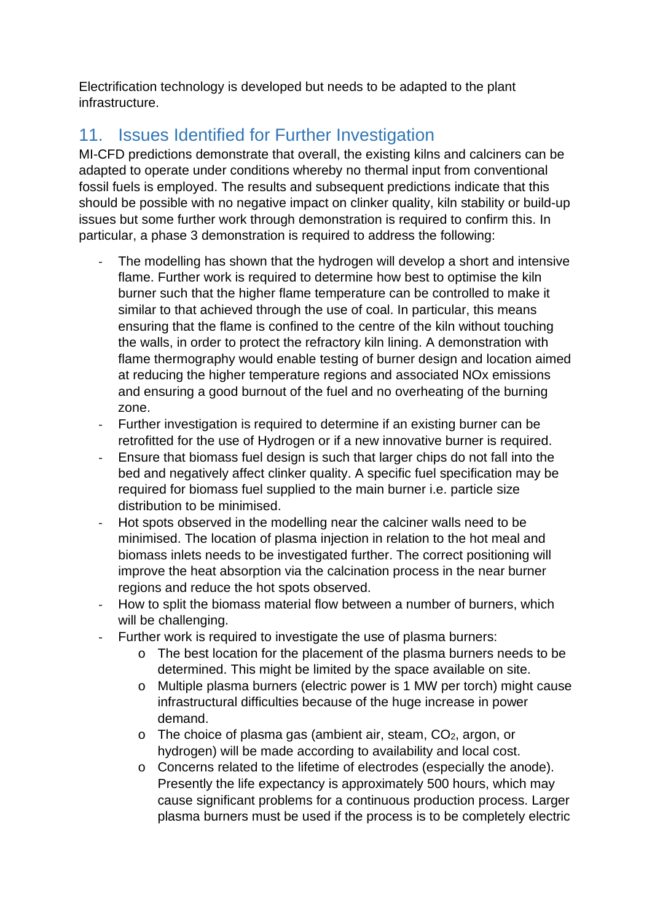Electrification technology is developed but needs to be adapted to the plant infrastructure.

# <span id="page-35-0"></span>11. Issues Identified for Further Investigation

MI-CFD predictions demonstrate that overall, the existing kilns and calciners can be adapted to operate under conditions whereby no thermal input from conventional fossil fuels is employed. The results and subsequent predictions indicate that this should be possible with no negative impact on clinker quality, kiln stability or build-up issues but some further work through demonstration is required to confirm this. In particular, a phase 3 demonstration is required to address the following:

- The modelling has shown that the hydrogen will develop a short and intensive flame. Further work is required to determine how best to optimise the kiln burner such that the higher flame temperature can be controlled to make it similar to that achieved through the use of coal. In particular, this means ensuring that the flame is confined to the centre of the kiln without touching the walls, in order to protect the refractory kiln lining. A demonstration with flame thermography would enable testing of burner design and location aimed at reducing the higher temperature regions and associated NOx emissions and ensuring a good burnout of the fuel and no overheating of the burning zone.
- Further investigation is required to determine if an existing burner can be retrofitted for the use of Hydrogen or if a new innovative burner is required.
- Ensure that biomass fuel design is such that larger chips do not fall into the bed and negatively affect clinker quality. A specific fuel specification may be required for biomass fuel supplied to the main burner i.e. particle size distribution to be minimised.
- Hot spots observed in the modelling near the calciner walls need to be minimised. The location of plasma injection in relation to the hot meal and biomass inlets needs to be investigated further. The correct positioning will improve the heat absorption via the calcination process in the near burner regions and reduce the hot spots observed.
- How to split the biomass material flow between a number of burners, which will be challenging.
- Further work is required to investigate the use of plasma burners:
	- o The best location for the placement of the plasma burners needs to be determined. This might be limited by the space available on site.
	- o Multiple plasma burners (electric power is 1 MW per torch) might cause infrastructural difficulties because of the huge increase in power demand.
	- o The choice of plasma gas (ambient air, steam, CO2, argon, or hydrogen) will be made according to availability and local cost.
	- o Concerns related to the lifetime of electrodes (especially the anode). Presently the life expectancy is approximately 500 hours, which may cause significant problems for a continuous production process. Larger plasma burners must be used if the process is to be completely electric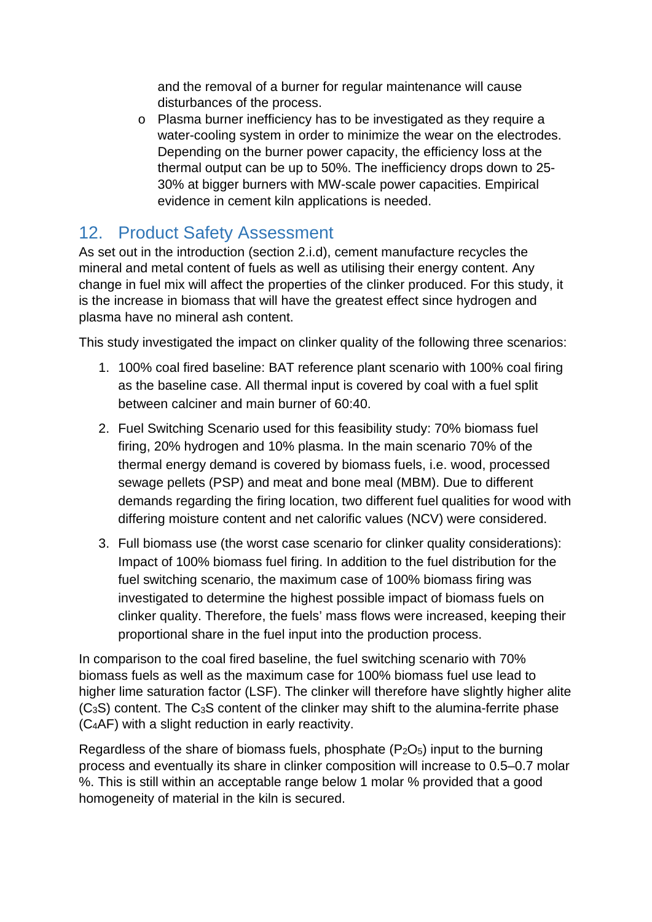and the removal of a burner for regular maintenance will cause disturbances of the process.

o Plasma burner inefficiency has to be investigated as they require a water-cooling system in order to minimize the wear on the electrodes. Depending on the burner power capacity, the efficiency loss at the thermal output can be up to 50%. The inefficiency drops down to 25- 30% at bigger burners with MW-scale power capacities. Empirical evidence in cement kiln applications is needed.

### <span id="page-36-0"></span>12. Product Safety Assessment

As set out in the introduction (section [2](#page-7-0)[.i](#page-7-1)[.d\)](#page-12-1), cement manufacture recycles the mineral and metal content of fuels as well as utilising their energy content. Any change in fuel mix will affect the properties of the clinker produced. For this study, it is the increase in biomass that will have the greatest effect since hydrogen and plasma have no mineral ash content.

This study investigated the impact on clinker quality of the following three scenarios:

- 1. 100% coal fired baseline: BAT reference plant scenario with 100% coal firing as the baseline case. All thermal input is covered by coal with a fuel split between calciner and main burner of 60:40.
- 2. Fuel Switching Scenario used for this feasibility study: 70% biomass fuel firing, 20% hydrogen and 10% plasma. In the main scenario 70% of the thermal energy demand is covered by biomass fuels, i.e. wood, processed sewage pellets (PSP) and meat and bone meal (MBM). Due to different demands regarding the firing location, two different fuel qualities for wood with differing moisture content and net calorific values (NCV) were considered.
- 3. Full biomass use (the worst case scenario for clinker quality considerations): Impact of 100% biomass fuel firing. In addition to the fuel distribution for the fuel switching scenario, the maximum case of 100% biomass firing was investigated to determine the highest possible impact of biomass fuels on clinker quality. Therefore, the fuels' mass flows were increased, keeping their proportional share in the fuel input into the production process.

In comparison to the coal fired baseline, the fuel switching scenario with 70% biomass fuels as well as the maximum case for 100% biomass fuel use lead to higher lime saturation factor (LSF). The clinker will therefore have slightly higher alite (C3S) content. The C3S content of the clinker may shift to the alumina-ferrite phase (C4AF) with a slight reduction in early reactivity.

Regardless of the share of biomass fuels, phosphate  $(P_2O_5)$  input to the burning process and eventually its share in clinker composition will increase to 0.5–0.7 molar %. This is still within an acceptable range below 1 molar % provided that a good homogeneity of material in the kiln is secured.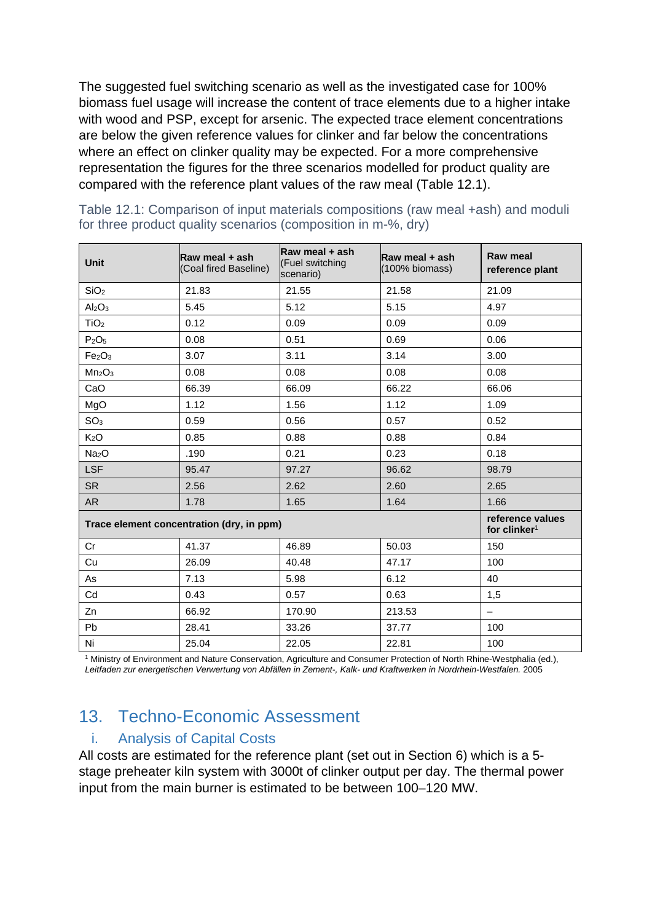The suggested fuel switching scenario as well as the investigated case for 100% biomass fuel usage will increase the content of trace elements due to a higher intake with wood and PSP, except for arsenic. The expected trace element concentrations are below the given reference values for clinker and far below the concentrations where an effect on clinker quality may be expected. For a more comprehensive representation the figures for the three scenarios modelled for product quality are compared with the reference plant values of the raw meal [\(Table 12.1\)](#page-37-2).

| <b>Unit</b>                               | Raw meal + ash<br>(Coal fired Baseline) | Raw meal + ash<br>(Fuel switching<br>scenario) | Raw meal + ash<br>(100% biomass)             | <b>Raw meal</b><br>reference plant |
|-------------------------------------------|-----------------------------------------|------------------------------------------------|----------------------------------------------|------------------------------------|
| SiO <sub>2</sub>                          | 21.83                                   | 21.55                                          | 21.58                                        | 21.09                              |
| Al <sub>2</sub> O <sub>3</sub>            | 5.45                                    | 5.12                                           | 5.15                                         | 4.97                               |
| TiO <sub>2</sub>                          | 0.12                                    | 0.09                                           | 0.09                                         | 0.09                               |
| P <sub>2</sub> O <sub>5</sub>             | 0.08                                    | 0.51                                           | 0.69                                         | 0.06                               |
| Fe <sub>2</sub> O <sub>3</sub>            | 3.07                                    | 3.11                                           | 3.14                                         | 3.00                               |
| Mn <sub>2</sub> O <sub>3</sub>            | 0.08                                    | 0.08                                           | 0.08                                         | 0.08                               |
| CaO                                       | 66.39                                   | 66.09                                          | 66.22                                        | 66.06                              |
| MgO                                       | 1.12                                    | 1.56                                           | 1.12                                         | 1.09                               |
| SO <sub>3</sub>                           | 0.59                                    | 0.56                                           | 0.57                                         | 0.52                               |
| K <sub>2</sub> O                          | 0.85                                    | 0.88                                           | 0.88                                         | 0.84                               |
| Na <sub>2</sub> O                         | .190                                    | 0.21                                           | 0.23                                         | 0.18                               |
| <b>LSF</b>                                | 95.47                                   | 97.27                                          | 96.62                                        | 98.79                              |
| <b>SR</b>                                 | 2.56                                    | 2.62                                           | 2.60                                         | 2.65                               |
| AR                                        | 1.78                                    | 1.65                                           | 1.64                                         | 1.66                               |
| Trace element concentration (dry, in ppm) |                                         |                                                | reference values<br>for clinker <sup>1</sup> |                                    |
| Cr                                        | 41.37                                   | 46.89                                          | 50.03                                        | 150                                |
| Cu                                        | 26.09                                   | 40.48                                          | 47.17                                        | 100                                |
| As                                        | 7.13                                    | 5.98                                           | 6.12                                         | 40                                 |
| Cd                                        | 0.43                                    | 0.57                                           | 0.63                                         | 1,5                                |
| Zn                                        | 66.92                                   | 170.90                                         | 213.53                                       | $\overline{\phantom{0}}$           |
| <b>Pb</b>                                 | 28.41                                   | 33.26                                          | 37.77                                        | 100                                |
| Ni                                        | 25.04                                   | 22.05                                          | 22.81                                        | 100                                |

<span id="page-37-2"></span>Table 12.1: Comparison of input materials compositions (raw meal +ash) and moduli for three product quality scenarios (composition in m-%, dry)

<sup>1</sup> Ministry of Environment and Nature Conservation, Agriculture and Consumer Protection of North Rhine-Westphalia (ed.), *Leitfaden zur energetischen Verwertung von Abfällen in Zement-, Kalk- und Kraftwerken in Nordrhein-Westfalen.* 2005

# <span id="page-37-0"></span>13. Techno-Economic Assessment

#### <span id="page-37-1"></span>i. Analysis of Capital Costs

All costs are estimated for the reference plant (set out in Section [6\)](#page-26-0) which is a 5 stage preheater kiln system with 3000t of clinker output per day. The thermal power input from the main burner is estimated to be between 100–120 MW.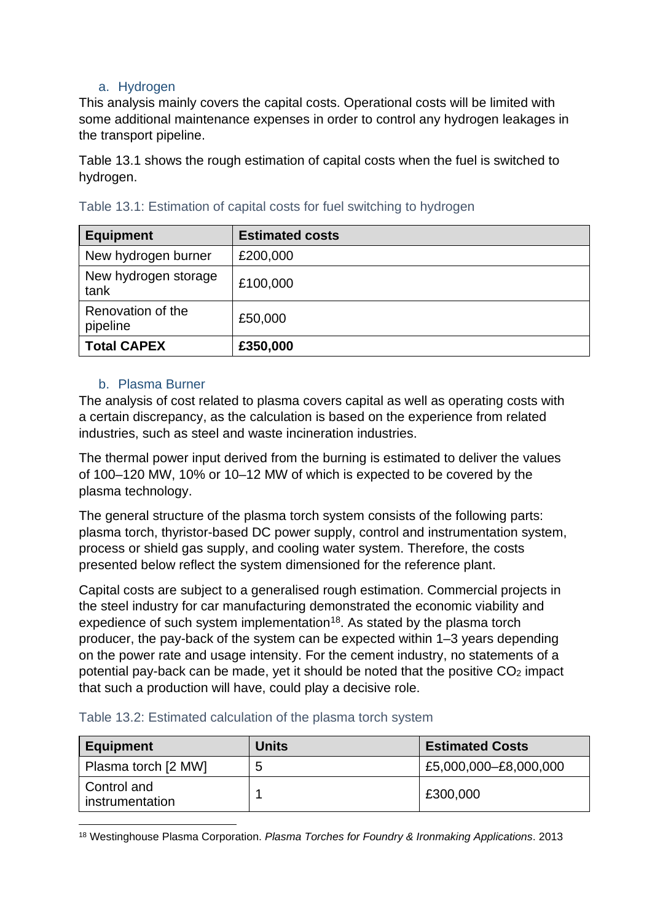#### a. Hydrogen

<span id="page-38-0"></span>This analysis mainly covers the capital costs. Operational costs will be limited with some additional maintenance expenses in order to control any hydrogen leakages in the transport pipeline.

[Table 13.1](#page-38-2) shows the rough estimation of capital costs when the fuel is switched to hydrogen.

| <b>Equipment</b>              | <b>Estimated costs</b> |
|-------------------------------|------------------------|
| New hydrogen burner           | £200,000               |
| New hydrogen storage<br>tank  | £100,000               |
| Renovation of the<br>pipeline | £50,000                |
| <b>Total CAPEX</b>            | £350,000               |

#### <span id="page-38-2"></span>Table 13.1: Estimation of capital costs for fuel switching to hydrogen

#### <span id="page-38-1"></span>b. Plasma Burner

The analysis of cost related to plasma covers capital as well as operating costs with a certain discrepancy, as the calculation is based on the experience from related industries, such as steel and waste incineration industries.

The thermal power input derived from the burning is estimated to deliver the values of 100–120 MW, 10% or 10–12 MW of which is expected to be covered by the plasma technology.

The general structure of the plasma torch system consists of the following parts: plasma torch, thyristor-based DC power supply, control and instrumentation system, process or shield gas supply, and cooling water system. Therefore, the costs presented below reflect the system dimensioned for the reference plant.

Capital costs are subject to a generalised rough estimation. Commercial projects in the steel industry for car manufacturing demonstrated the economic viability and expedience of such system implementation<sup>18</sup>. As stated by the plasma torch producer, the pay-back of the system can be expected within 1–3 years depending on the power rate and usage intensity. For the cement industry, no statements of a potential pay-back can be made, yet it should be noted that the positive  $CO<sub>2</sub>$  impact that such a production will have, could play a decisive role.

<span id="page-38-3"></span>

| Table 13.2: Estimated calculation of the plasma torch system |  |
|--------------------------------------------------------------|--|
|--------------------------------------------------------------|--|

| <b>Equipment</b>               | <b>Units</b> | <b>Estimated Costs</b> |
|--------------------------------|--------------|------------------------|
| Plasma torch [2 MW]            | 5            | £5,000,000-£8,000,000  |
| Control and<br>instrumentation |              | £300,000               |

<span id="page-38-4"></span><sup>18</sup> Westinghouse Plasma Corporation. *Plasma Torches for Foundry & Ironmaking Applications*. 2013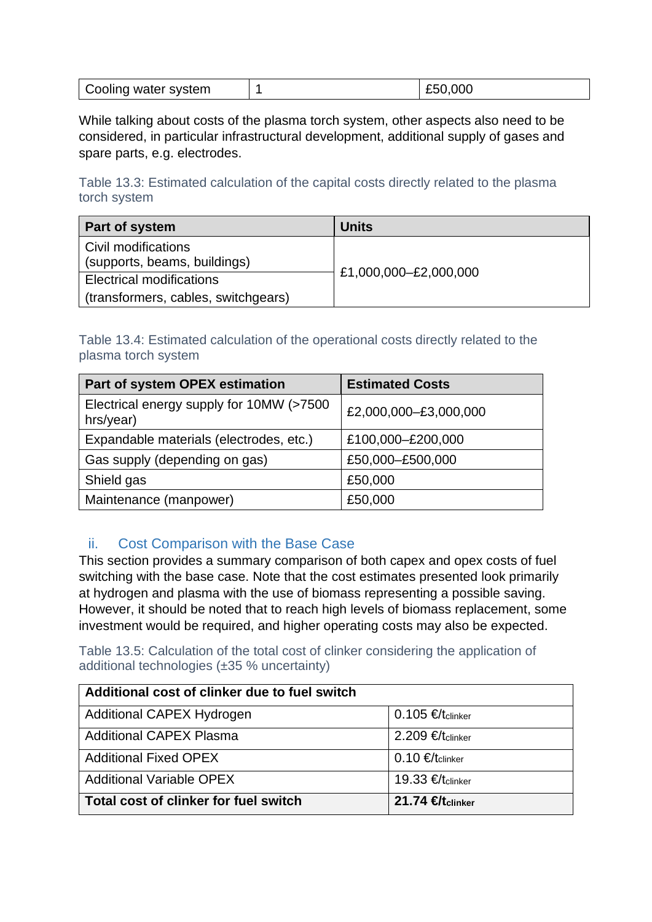| Cooling water system |  | £50,000 |
|----------------------|--|---------|
|----------------------|--|---------|

While talking about costs of the plasma torch system, other aspects also need to be considered, in particular infrastructural development, additional supply of gases and spare parts, e.g. electrodes.

<span id="page-39-1"></span>Table 13.3: Estimated calculation of the capital costs directly related to the plasma torch system

| Part of system                                      | <b>Units</b>          |  |
|-----------------------------------------------------|-----------------------|--|
| Civil modifications<br>(supports, beams, buildings) |                       |  |
| <b>Electrical modifications</b>                     | £1,000,000-£2,000,000 |  |
| (transformers, cables, switchgears)                 |                       |  |

<span id="page-39-2"></span>Table 13.4: Estimated calculation of the operational costs directly related to the plasma torch system

| Part of system OPEX estimation                        | <b>Estimated Costs</b> |
|-------------------------------------------------------|------------------------|
| Electrical energy supply for 10MW (>7500<br>hrs/year) | £2,000,000-£3,000,000  |
| Expandable materials (electrodes, etc.)               | £100,000-£200,000      |
| Gas supply (depending on gas)                         | £50,000-£500,000       |
| Shield gas                                            | £50,000                |
| Maintenance (manpower)                                | £50,000                |

#### <span id="page-39-0"></span>ii. Cost Comparison with the Base Case

This section provides a summary comparison of both capex and opex costs of fuel switching with the base case. Note that the cost estimates presented look primarily at hydrogen and plasma with the use of biomass representing a possible saving. However, it should be noted that to reach high levels of biomass replacement, some investment would be required, and higher operating costs may also be expected.

<span id="page-39-3"></span>Table 13.5: Calculation of the total cost of clinker considering the application of additional technologies (±35 % uncertainty)

| Additional cost of clinker due to fuel switch |                             |
|-----------------------------------------------|-----------------------------|
| Additional CAPEX Hydrogen                     | $0.105$ €/tclinker          |
| <b>Additional CAPEX Plasma</b>                | 2.209 €/ $t$ clinker        |
| <b>Additional Fixed OPEX</b>                  | $0.10 \in$ /tclinker        |
| <b>Additional Variable OPEX</b>               | 19.33 €/tclinker            |
| Total cost of clinker for fuel switch         | 21.74 $H_{\text{tcluster}}$ |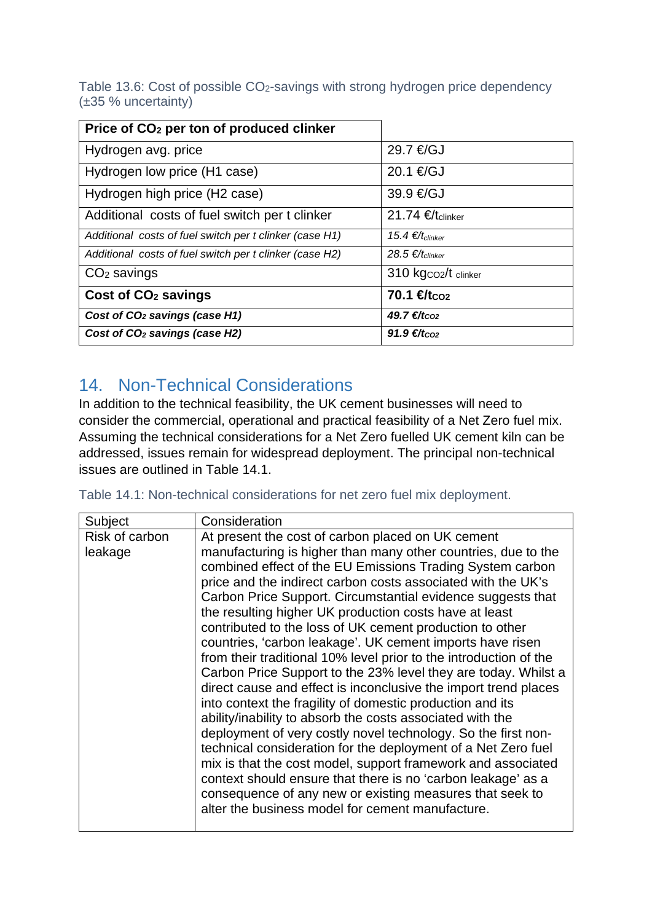<span id="page-40-1"></span>Table 13.6: Cost of possible CO2-savings with strong hydrogen price dependency (±35 % uncertainty)

| Price of CO <sub>2</sub> per ton of produced clinker    |                              |
|---------------------------------------------------------|------------------------------|
| Hydrogen avg. price                                     | 29.7 €/GJ                    |
| Hydrogen low price (H1 case)                            | 20.1 €/GJ                    |
| Hydrogen high price (H2 case)                           | 39.9 €/GJ                    |
| Additional costs of fuel switch per t clinker           | 21.74 $E$ tclinker           |
| Additional costs of fuel switch per t clinker (case H1) | 15.4 €/ $t_{\text{clinker}}$ |
| Additional costs of fuel switch per t clinker (case H2) | 28.5 €/ $t_{\text{clinker}}$ |
| $CO2$ savings                                           | 310 kgco2/t clinker          |
| Cost of CO <sub>2</sub> savings                         | 70.1 $f_{\text{tco2}}$       |
| Cost of CO <sub>2</sub> savings (case H1)               | 49.7 €/ $t_{CO2}$            |
| Cost of CO <sub>2</sub> savings (case H2)               | $91.9 \t∈/t_{CO2}$           |

# <span id="page-40-0"></span>14. Non-Technical Considerations

In addition to the technical feasibility, the UK cement businesses will need to consider the commercial, operational and practical feasibility of a Net Zero fuel mix. Assuming the technical considerations for a Net Zero fuelled UK cement kiln can be addressed, issues remain for widespread deployment. The principal non-technical issues are outlined in [Table 14.1.](#page-40-2)

<span id="page-40-2"></span>Table 14.1: Non-technical considerations for net zero fuel mix deployment.

| Subject                   | Consideration                                                                                                                                                                                                                                                                                                                                                                                                                                                                                                                                                                                                                                                                                                                                                            |
|---------------------------|--------------------------------------------------------------------------------------------------------------------------------------------------------------------------------------------------------------------------------------------------------------------------------------------------------------------------------------------------------------------------------------------------------------------------------------------------------------------------------------------------------------------------------------------------------------------------------------------------------------------------------------------------------------------------------------------------------------------------------------------------------------------------|
| Risk of carbon<br>leakage | At present the cost of carbon placed on UK cement<br>manufacturing is higher than many other countries, due to the<br>combined effect of the EU Emissions Trading System carbon<br>price and the indirect carbon costs associated with the UK's<br>Carbon Price Support. Circumstantial evidence suggests that<br>the resulting higher UK production costs have at least<br>contributed to the loss of UK cement production to other<br>countries, 'carbon leakage'. UK cement imports have risen<br>from their traditional 10% level prior to the introduction of the<br>Carbon Price Support to the 23% level they are today. Whilst a<br>direct cause and effect is inconclusive the import trend places<br>into context the fragility of domestic production and its |
|                           | ability/inability to absorb the costs associated with the<br>deployment of very costly novel technology. So the first non-<br>technical consideration for the deployment of a Net Zero fuel<br>mix is that the cost model, support framework and associated<br>context should ensure that there is no 'carbon leakage' as a<br>consequence of any new or existing measures that seek to                                                                                                                                                                                                                                                                                                                                                                                  |
|                           | alter the business model for cement manufacture.                                                                                                                                                                                                                                                                                                                                                                                                                                                                                                                                                                                                                                                                                                                         |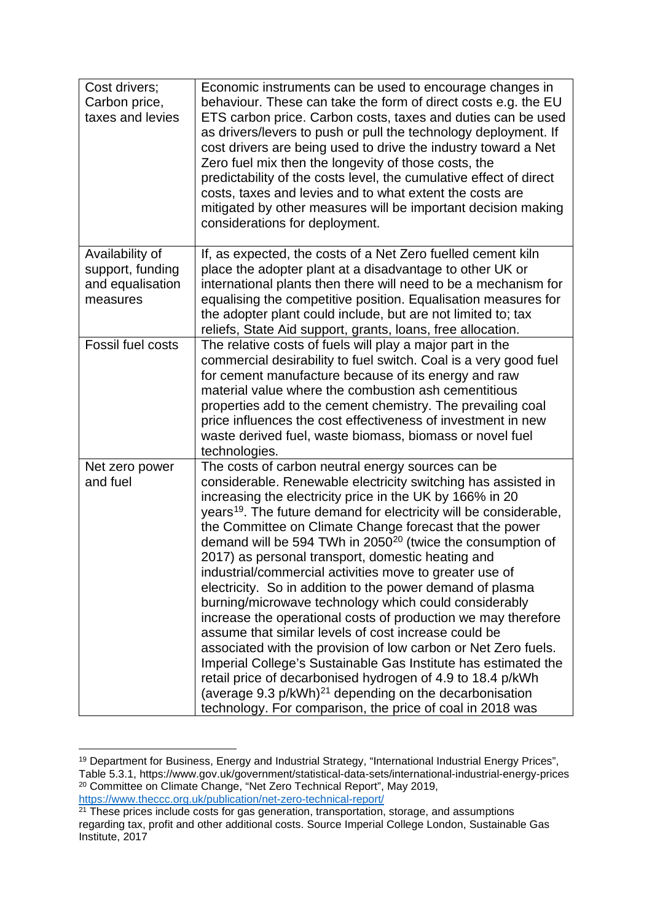| Cost drivers;<br>Carbon price,<br>taxes and levies                  | Economic instruments can be used to encourage changes in<br>behaviour. These can take the form of direct costs e.g. the EU<br>ETS carbon price. Carbon costs, taxes and duties can be used<br>as drivers/levers to push or pull the technology deployment. If<br>cost drivers are being used to drive the industry toward a Net<br>Zero fuel mix then the longevity of those costs, the<br>predictability of the costs level, the cumulative effect of direct<br>costs, taxes and levies and to what extent the costs are<br>mitigated by other measures will be important decision making<br>considerations for deployment.                                                                                                                                                                                                                                                                                                                                                                                                                                                                             |
|---------------------------------------------------------------------|----------------------------------------------------------------------------------------------------------------------------------------------------------------------------------------------------------------------------------------------------------------------------------------------------------------------------------------------------------------------------------------------------------------------------------------------------------------------------------------------------------------------------------------------------------------------------------------------------------------------------------------------------------------------------------------------------------------------------------------------------------------------------------------------------------------------------------------------------------------------------------------------------------------------------------------------------------------------------------------------------------------------------------------------------------------------------------------------------------|
| Availability of<br>support, funding<br>and equalisation<br>measures | If, as expected, the costs of a Net Zero fuelled cement kiln<br>place the adopter plant at a disadvantage to other UK or<br>international plants then there will need to be a mechanism for<br>equalising the competitive position. Equalisation measures for<br>the adopter plant could include, but are not limited to; tax<br>reliefs, State Aid support, grants, loans, free allocation.                                                                                                                                                                                                                                                                                                                                                                                                                                                                                                                                                                                                                                                                                                             |
| Fossil fuel costs                                                   | The relative costs of fuels will play a major part in the<br>commercial desirability to fuel switch. Coal is a very good fuel<br>for cement manufacture because of its energy and raw<br>material value where the combustion ash cementitious<br>properties add to the cement chemistry. The prevailing coal<br>price influences the cost effectiveness of investment in new<br>waste derived fuel, waste biomass, biomass or novel fuel<br>technologies.                                                                                                                                                                                                                                                                                                                                                                                                                                                                                                                                                                                                                                                |
| Net zero power<br>and fuel                                          | The costs of carbon neutral energy sources can be<br>considerable. Renewable electricity switching has assisted in<br>increasing the electricity price in the UK by 166% in 20<br>years <sup>19</sup> . The future demand for electricity will be considerable,<br>the Committee on Climate Change forecast that the power<br>demand will be 594 TWh in 2050 <sup>20</sup> (twice the consumption of<br>2017) as personal transport, domestic heating and<br>industrial/commercial activities move to greater use of<br>electricity. So in addition to the power demand of plasma<br>burning/microwave technology which could considerably<br>increase the operational costs of production we may therefore<br>assume that similar levels of cost increase could be<br>associated with the provision of low carbon or Net Zero fuels.<br>Imperial College's Sustainable Gas Institute has estimated the<br>retail price of decarbonised hydrogen of 4.9 to 18.4 p/kWh<br>(average 9.3 p/kWh) <sup>21</sup> depending on the decarbonisation<br>technology. For comparison, the price of coal in 2018 was |

<span id="page-41-0"></span><sup>19</sup> Department for Business, Energy and Industrial Strategy, "International Industrial Energy Prices", Table 5.3.1, https://www.gov.uk/government/statistical-data-sets/international-industrial-energy-prices <sup>20</sup> Committee on Climate Change, "Net Zero Technical Report", May 2019,

<span id="page-41-2"></span><span id="page-41-1"></span><sup>&</sup>lt;u>https://www.theccc.org.uk/publication/net-zero-technical-report/</u><br><sup>21</sup> These prices include costs for gas generation, transportation, storage, and assumptions regarding tax, profit and other additional costs. Source Imperial College London, Sustainable Gas Institute, 2017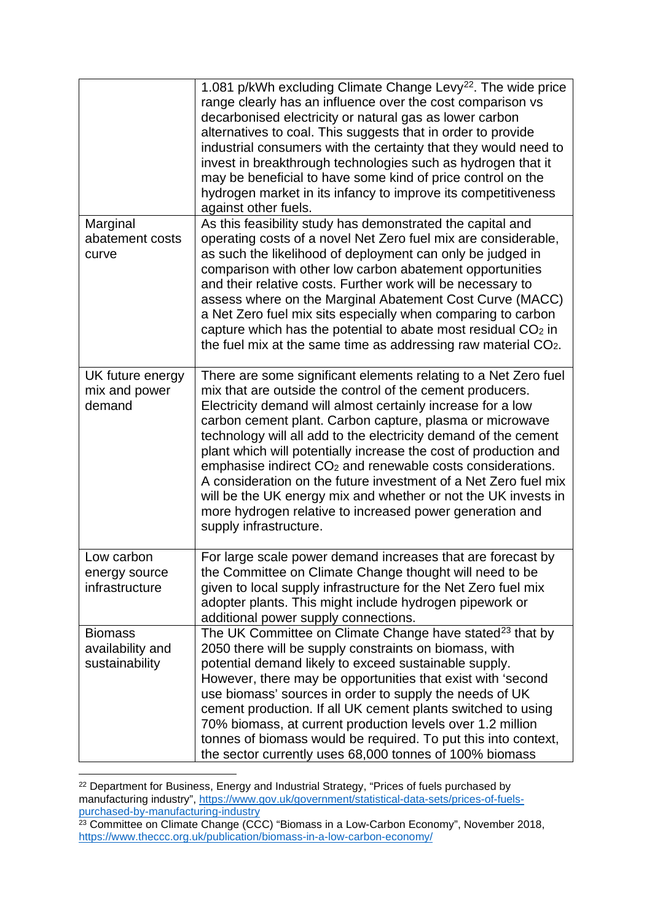|                                                      | 1.081 p/kWh excluding Climate Change Levy <sup>22</sup> . The wide price<br>range clearly has an influence over the cost comparison vs<br>decarbonised electricity or natural gas as lower carbon<br>alternatives to coal. This suggests that in order to provide<br>industrial consumers with the certainty that they would need to<br>invest in breakthrough technologies such as hydrogen that it<br>may be beneficial to have some kind of price control on the<br>hydrogen market in its infancy to improve its competitiveness<br>against other fuels.                                                                                                                                        |
|------------------------------------------------------|-----------------------------------------------------------------------------------------------------------------------------------------------------------------------------------------------------------------------------------------------------------------------------------------------------------------------------------------------------------------------------------------------------------------------------------------------------------------------------------------------------------------------------------------------------------------------------------------------------------------------------------------------------------------------------------------------------|
| Marginal<br>abatement costs<br>curve                 | As this feasibility study has demonstrated the capital and<br>operating costs of a novel Net Zero fuel mix are considerable,<br>as such the likelihood of deployment can only be judged in<br>comparison with other low carbon abatement opportunities<br>and their relative costs. Further work will be necessary to<br>assess where on the Marginal Abatement Cost Curve (MACC)<br>a Net Zero fuel mix sits especially when comparing to carbon<br>capture which has the potential to abate most residual $CO2$ in<br>the fuel mix at the same time as addressing raw material CO <sub>2</sub> .                                                                                                  |
| UK future energy<br>mix and power<br>demand          | There are some significant elements relating to a Net Zero fuel<br>mix that are outside the control of the cement producers.<br>Electricity demand will almost certainly increase for a low<br>carbon cement plant. Carbon capture, plasma or microwave<br>technology will all add to the electricity demand of the cement<br>plant which will potentially increase the cost of production and<br>emphasise indirect CO <sub>2</sub> and renewable costs considerations.<br>A consideration on the future investment of a Net Zero fuel mix<br>will be the UK energy mix and whether or not the UK invests in<br>more hydrogen relative to increased power generation and<br>supply infrastructure. |
| Low carbon<br>energy source<br>infrastructure        | For large scale power demand increases that are forecast by<br>the Committee on Climate Change thought will need to be<br>given to local supply infrastructure for the Net Zero fuel mix<br>adopter plants. This might include hydrogen pipework or<br>additional power supply connections.                                                                                                                                                                                                                                                                                                                                                                                                         |
| <b>Biomass</b><br>availability and<br>sustainability | The UK Committee on Climate Change have stated $^{23}$ that by<br>2050 there will be supply constraints on biomass, with<br>potential demand likely to exceed sustainable supply.<br>However, there may be opportunities that exist with 'second<br>use biomass' sources in order to supply the needs of UK<br>cement production. If all UK cement plants switched to using<br>70% biomass, at current production levels over 1.2 million<br>tonnes of biomass would be required. To put this into context,<br>the sector currently uses 68,000 tonnes of 100% biomass                                                                                                                              |

<span id="page-42-0"></span> $22$  Department for Business, Energy and Industrial Strategy, "Prices of fuels purchased by manufacturing industry", [https://www.gov.uk/government/statistical-data-sets/prices-of-fuels-](https://www.gov.uk/government/statistical-data-sets/prices-of-fuels-purchased-by-manufacturing-industry)<u>purchased-by-manufacturing-industry</u><br><sup>23</sup> Committee on Climate Change (CCC) "Biomass in a Low-Carbon Economy", November 2018,

<span id="page-42-1"></span><https://www.theccc.org.uk/publication/biomass-in-a-low-carbon-economy/>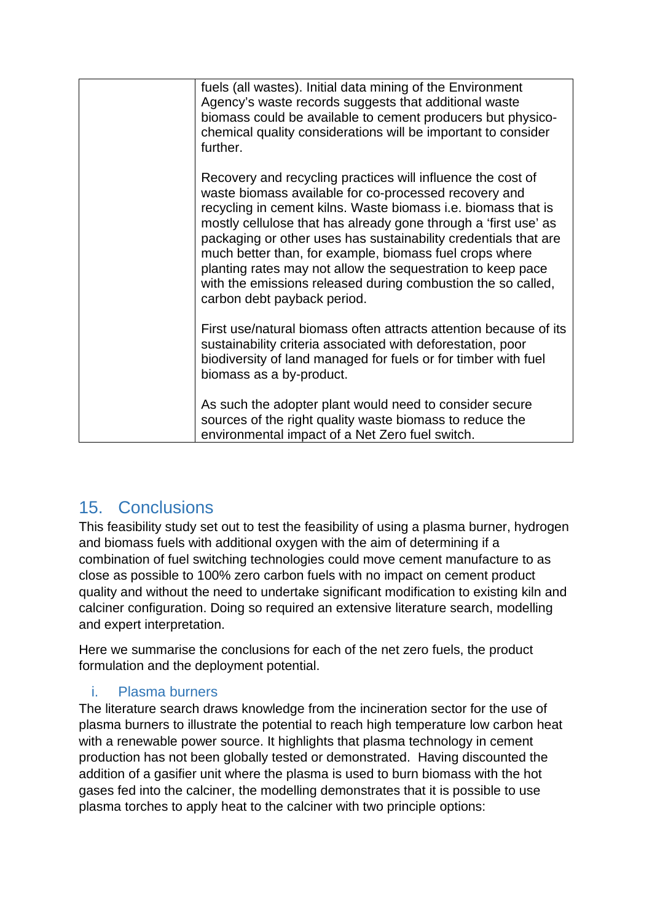| fuels (all wastes). Initial data mining of the Environment<br>Agency's waste records suggests that additional waste<br>biomass could be available to cement producers but physico-<br>chemical quality considerations will be important to consider<br>further.                                                                                                                                                                                                                                                                                      |
|------------------------------------------------------------------------------------------------------------------------------------------------------------------------------------------------------------------------------------------------------------------------------------------------------------------------------------------------------------------------------------------------------------------------------------------------------------------------------------------------------------------------------------------------------|
| Recovery and recycling practices will influence the cost of<br>waste biomass available for co-processed recovery and<br>recycling in cement kilns. Waste biomass i.e. biomass that is<br>mostly cellulose that has already gone through a 'first use' as<br>packaging or other uses has sustainability credentials that are<br>much better than, for example, biomass fuel crops where<br>planting rates may not allow the sequestration to keep pace<br>with the emissions released during combustion the so called,<br>carbon debt payback period. |
| First use/natural biomass often attracts attention because of its<br>sustainability criteria associated with deforestation, poor<br>biodiversity of land managed for fuels or for timber with fuel<br>biomass as a by-product.                                                                                                                                                                                                                                                                                                                       |
| As such the adopter plant would need to consider secure<br>sources of the right quality waste biomass to reduce the<br>environmental impact of a Net Zero fuel switch.                                                                                                                                                                                                                                                                                                                                                                               |

# <span id="page-43-0"></span>15. Conclusions

This feasibility study set out to test the feasibility of using a plasma burner, hydrogen and biomass fuels with additional oxygen with the aim of determining if a combination of fuel switching technologies could move cement manufacture to as close as possible to 100% zero carbon fuels with no impact on cement product quality and without the need to undertake significant modification to existing kiln and calciner configuration. Doing so required an extensive literature search, modelling and expert interpretation.

Here we summarise the conclusions for each of the net zero fuels, the product formulation and the deployment potential.

#### <span id="page-43-1"></span>i. Plasma burners

The literature search draws knowledge from the incineration sector for the use of plasma burners to illustrate the potential to reach high temperature low carbon heat with a renewable power source. It highlights that plasma technology in cement production has not been globally tested or demonstrated. Having discounted the addition of a gasifier unit where the plasma is used to burn biomass with the hot gases fed into the calciner, the modelling demonstrates that it is possible to use plasma torches to apply heat to the calciner with two principle options: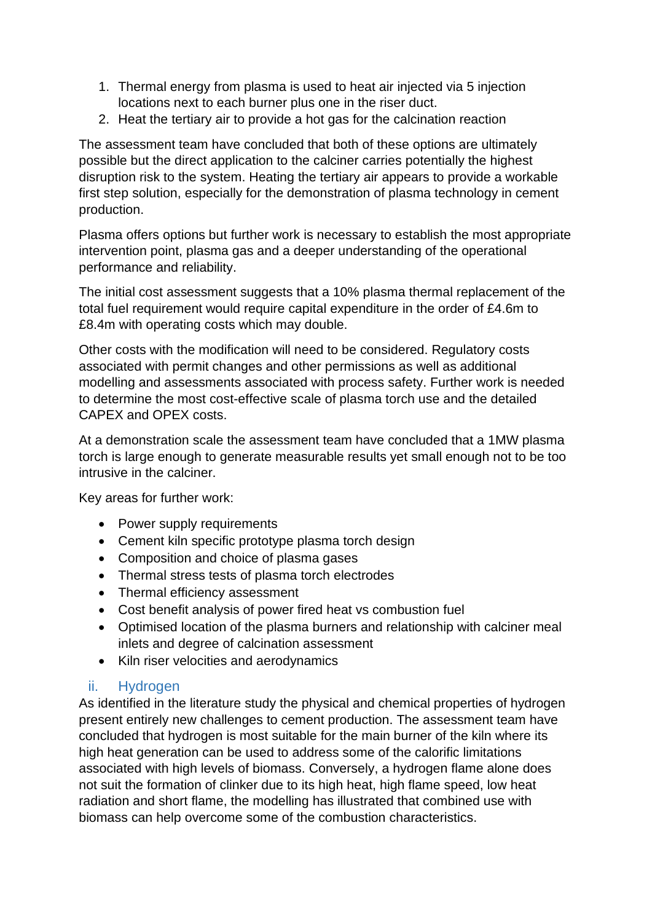- 1. Thermal energy from plasma is used to heat air injected via 5 injection locations next to each burner plus one in the riser duct.
- 2. Heat the tertiary air to provide a hot gas for the calcination reaction

The assessment team have concluded that both of these options are ultimately possible but the direct application to the calciner carries potentially the highest disruption risk to the system. Heating the tertiary air appears to provide a workable first step solution, especially for the demonstration of plasma technology in cement production.

Plasma offers options but further work is necessary to establish the most appropriate intervention point, plasma gas and a deeper understanding of the operational performance and reliability.

The initial cost assessment suggests that a 10% plasma thermal replacement of the total fuel requirement would require capital expenditure in the order of £4.6m to £8.4m with operating costs which may double.

Other costs with the modification will need to be considered. Regulatory costs associated with permit changes and other permissions as well as additional modelling and assessments associated with process safety. Further work is needed to determine the most cost-effective scale of plasma torch use and the detailed CAPEX and OPEX costs.

At a demonstration scale the assessment team have concluded that a 1MW plasma torch is large enough to generate measurable results yet small enough not to be too intrusive in the calciner.

Key areas for further work:

- Power supply requirements
- Cement kiln specific prototype plasma torch design
- Composition and choice of plasma gases
- Thermal stress tests of plasma torch electrodes
- Thermal efficiency assessment
- Cost benefit analysis of power fired heat vs combustion fuel
- Optimised location of the plasma burners and relationship with calciner meal inlets and degree of calcination assessment
- Kiln riser velocities and aerodynamics

### <span id="page-44-0"></span>ii. Hydrogen

As identified in the literature study the physical and chemical properties of hydrogen present entirely new challenges to cement production. The assessment team have concluded that hydrogen is most suitable for the main burner of the kiln where its high heat generation can be used to address some of the calorific limitations associated with high levels of biomass. Conversely, a hydrogen flame alone does not suit the formation of clinker due to its high heat, high flame speed, low heat radiation and short flame, the modelling has illustrated that combined use with biomass can help overcome some of the combustion characteristics.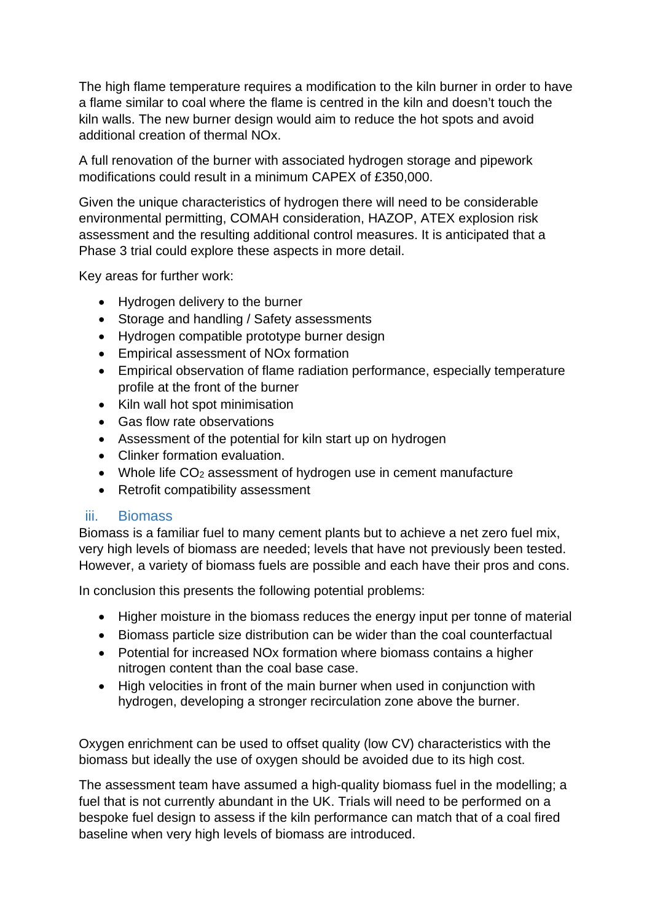The high flame temperature requires a modification to the kiln burner in order to have a flame similar to coal where the flame is centred in the kiln and doesn't touch the kiln walls. The new burner design would aim to reduce the hot spots and avoid additional creation of thermal NOx.

A full renovation of the burner with associated hydrogen storage and pipework modifications could result in a minimum CAPEX of £350,000.

Given the unique characteristics of hydrogen there will need to be considerable environmental permitting, COMAH consideration, HAZOP, ATEX explosion risk assessment and the resulting additional control measures. It is anticipated that a Phase 3 trial could explore these aspects in more detail.

Key areas for further work:

- Hydrogen delivery to the burner
- Storage and handling / Safety assessments
- Hydrogen compatible prototype burner design
- Empirical assessment of NOx formation
- Empirical observation of flame radiation performance, especially temperature profile at the front of the burner
- Kiln wall hot spot minimisation
- Gas flow rate observations
- Assessment of the potential for kiln start up on hydrogen
- Clinker formation evaluation.
- Whole life  $CO<sub>2</sub>$  assessment of hydrogen use in cement manufacture
- Retrofit compatibility assessment

#### <span id="page-45-0"></span>iii. Biomass

Biomass is a familiar fuel to many cement plants but to achieve a net zero fuel mix, very high levels of biomass are needed; levels that have not previously been tested. However, a variety of biomass fuels are possible and each have their pros and cons.

In conclusion this presents the following potential problems:

- Higher moisture in the biomass reduces the energy input per tonne of material
- Biomass particle size distribution can be wider than the coal counterfactual
- Potential for increased NOx formation where biomass contains a higher nitrogen content than the coal base case.
- High velocities in front of the main burner when used in conjunction with hydrogen, developing a stronger recirculation zone above the burner.

Oxygen enrichment can be used to offset quality (low CV) characteristics with the biomass but ideally the use of oxygen should be avoided due to its high cost.

The assessment team have assumed a high-quality biomass fuel in the modelling; a fuel that is not currently abundant in the UK. Trials will need to be performed on a bespoke fuel design to assess if the kiln performance can match that of a coal fired baseline when very high levels of biomass are introduced.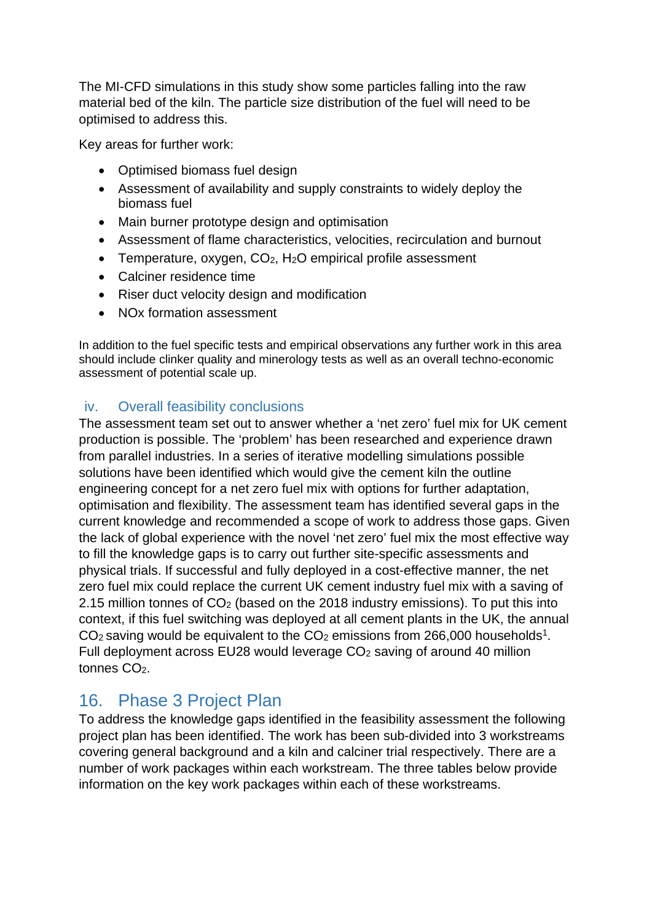The MI-CFD simulations in this study show some particles falling into the raw material bed of the kiln. The particle size distribution of the fuel will need to be optimised to address this.

Key areas for further work:

- Optimised biomass fuel design
- Assessment of availability and supply constraints to widely deploy the biomass fuel
- Main burner prototype design and optimisation
- Assessment of flame characteristics, velocities, recirculation and burnout
- Temperature, oxygen, CO<sub>2</sub>, H<sub>2</sub>O empirical profile assessment
- Calciner residence time
- Riser duct velocity design and modification
- NOx formation assessment

In addition to the fuel specific tests and empirical observations any further work in this area should include clinker quality and minerology tests as well as an overall techno-economic assessment of potential scale up.

#### <span id="page-46-0"></span>iv. Overall feasibility conclusions

The assessment team set out to answer whether a 'net zero' fuel mix for UK cement production is possible. The 'problem' has been researched and experience drawn from parallel industries. In a series of iterative modelling simulations possible solutions have been identified which would give the cement kiln the outline engineering concept for a net zero fuel mix with options for further adaptation, optimisation and flexibility. The assessment team has identified several gaps in the current knowledge and recommended a scope of work to address those gaps. Given the lack of global experience with the novel 'net zero' fuel mix the most effective way to fill the knowledge gaps is to carry out further site-specific assessments and physical trials. If successful and fully deployed in a cost-effective manner, the net zero fuel mix could replace the current UK cement industry fuel mix with a saving of 2.15 million tonnes of CO2 (based on the 2018 industry emissions). To put this into context, if this fuel switching was deployed at all cement plants in the UK, the annual  $CO<sub>2</sub>$  saving would be equivalent to the  $CO<sub>2</sub>$  emissions from 266,000 households<sup>1</sup>. Full deployment across EU28 would leverage CO2 saving of around 40 million tonnes CO<sub>2</sub>.

# <span id="page-46-1"></span>16. Phase 3 Project Plan

To address the knowledge gaps identified in the feasibility assessment the following project plan has been identified. The work has been sub-divided into 3 workstreams covering general background and a kiln and calciner trial respectively. There are a number of work packages within each workstream. The three tables below provide information on the key work packages within each of these workstreams.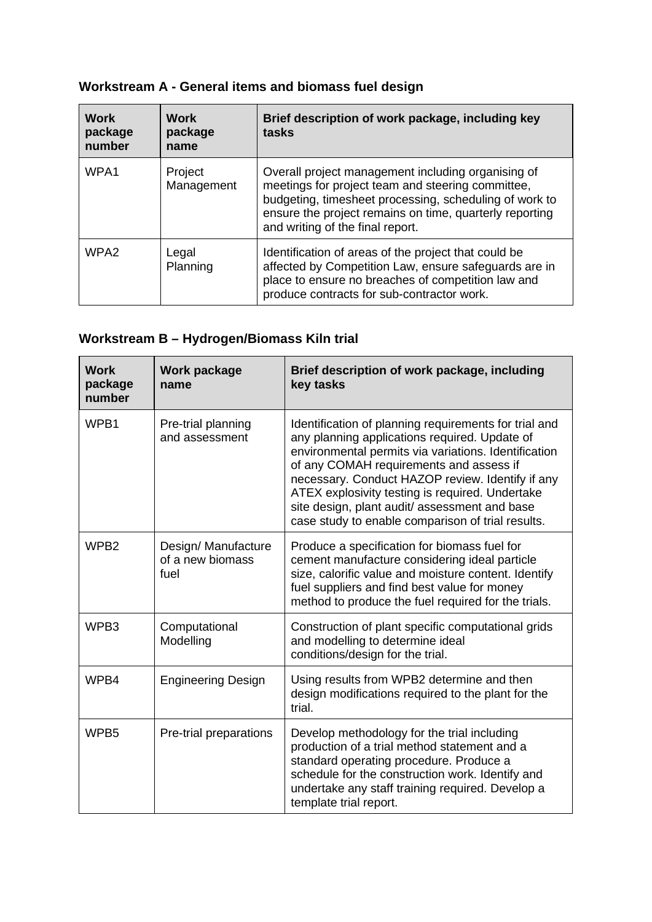# **Workstream A - General items and biomass fuel design**

| <b>Work</b><br>package<br>number | Work<br>package<br>name | Brief description of work package, including key<br>tasks                                                                                                                                                                                                        |
|----------------------------------|-------------------------|------------------------------------------------------------------------------------------------------------------------------------------------------------------------------------------------------------------------------------------------------------------|
| WPA1                             | Project<br>Management   | Overall project management including organising of<br>meetings for project team and steering committee,<br>budgeting, timesheet processing, scheduling of work to<br>ensure the project remains on time, quarterly reporting<br>and writing of the final report. |
| WPA <sub>2</sub>                 | Legal<br>Planning       | Identification of areas of the project that could be<br>affected by Competition Law, ensure safeguards are in<br>place to ensure no breaches of competition law and<br>produce contracts for sub-contractor work.                                                |

# **Workstream B – Hydrogen/Biomass Kiln trial**

| <b>Work</b><br>package<br>number | Work package<br>name                            | Brief description of work package, including<br>key tasks                                                                                                                                                                                                                                                                                                                                                             |
|----------------------------------|-------------------------------------------------|-----------------------------------------------------------------------------------------------------------------------------------------------------------------------------------------------------------------------------------------------------------------------------------------------------------------------------------------------------------------------------------------------------------------------|
| WPB1                             | Pre-trial planning<br>and assessment            | Identification of planning requirements for trial and<br>any planning applications required. Update of<br>environmental permits via variations. Identification<br>of any COMAH requirements and assess if<br>necessary. Conduct HAZOP review. Identify if any<br>ATEX explosivity testing is required. Undertake<br>site design, plant audit/assessment and base<br>case study to enable comparison of trial results. |
| WPB <sub>2</sub>                 | Design/ Manufacture<br>of a new biomass<br>fuel | Produce a specification for biomass fuel for<br>cement manufacture considering ideal particle<br>size, calorific value and moisture content. Identify<br>fuel suppliers and find best value for money<br>method to produce the fuel required for the trials.                                                                                                                                                          |
| WPB3                             | Computational<br>Modelling                      | Construction of plant specific computational grids<br>and modelling to determine ideal<br>conditions/design for the trial.                                                                                                                                                                                                                                                                                            |
| WPB4                             | <b>Engineering Design</b>                       | Using results from WPB2 determine and then<br>design modifications required to the plant for the<br>trial.                                                                                                                                                                                                                                                                                                            |
| WPB <sub>5</sub>                 | Pre-trial preparations                          | Develop methodology for the trial including<br>production of a trial method statement and a<br>standard operating procedure. Produce a<br>schedule for the construction work. Identify and<br>undertake any staff training required. Develop a<br>template trial report.                                                                                                                                              |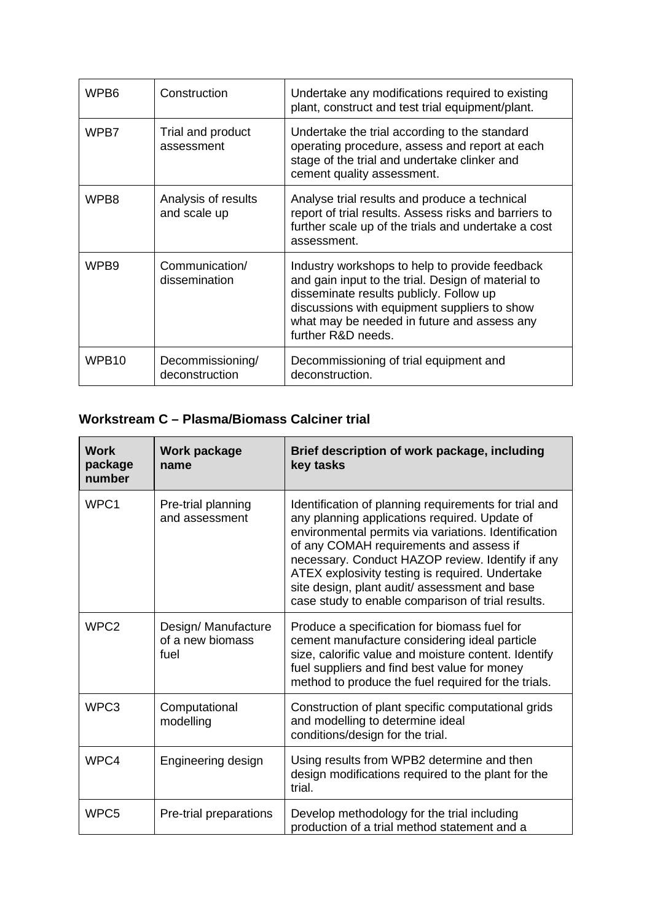| WPB6              | Construction                        | Undertake any modifications required to existing<br>plant, construct and test trial equipment/plant.                                                                                                                                                                 |
|-------------------|-------------------------------------|----------------------------------------------------------------------------------------------------------------------------------------------------------------------------------------------------------------------------------------------------------------------|
| WPB7              | Trial and product<br>assessment     | Undertake the trial according to the standard<br>operating procedure, assess and report at each<br>stage of the trial and undertake clinker and<br>cement quality assessment.                                                                                        |
| WPB8              | Analysis of results<br>and scale up | Analyse trial results and produce a technical<br>report of trial results. Assess risks and barriers to<br>further scale up of the trials and undertake a cost<br>assessment.                                                                                         |
| WPB <sub>9</sub>  | Communication/<br>dissemination     | Industry workshops to help to provide feedback<br>and gain input to the trial. Design of material to<br>disseminate results publicly. Follow up<br>discussions with equipment suppliers to show<br>what may be needed in future and assess any<br>further R&D needs. |
| WPB <sub>10</sub> | Decommissioning/<br>deconstruction  | Decommissioning of trial equipment and<br>deconstruction.                                                                                                                                                                                                            |

### **Workstream C – Plasma/Biomass Calciner trial**

| <b>Work</b><br>package<br>number | <b>Work package</b><br>name                     | Brief description of work package, including<br>key tasks                                                                                                                                                                                                                                                                                                                                                             |
|----------------------------------|-------------------------------------------------|-----------------------------------------------------------------------------------------------------------------------------------------------------------------------------------------------------------------------------------------------------------------------------------------------------------------------------------------------------------------------------------------------------------------------|
| WPC1                             | Pre-trial planning<br>and assessment            | Identification of planning requirements for trial and<br>any planning applications required. Update of<br>environmental permits via variations. Identification<br>of any COMAH requirements and assess if<br>necessary. Conduct HAZOP review. Identify if any<br>ATEX explosivity testing is required. Undertake<br>site design, plant audit/assessment and base<br>case study to enable comparison of trial results. |
| WPC <sub>2</sub>                 | Design/ Manufacture<br>of a new biomass<br>fuel | Produce a specification for biomass fuel for<br>cement manufacture considering ideal particle<br>size, calorific value and moisture content. Identify<br>fuel suppliers and find best value for money<br>method to produce the fuel required for the trials.                                                                                                                                                          |
| WPC3                             | Computational<br>modelling                      | Construction of plant specific computational grids<br>and modelling to determine ideal<br>conditions/design for the trial.                                                                                                                                                                                                                                                                                            |
| WPC4                             | Engineering design                              | Using results from WPB2 determine and then<br>design modifications required to the plant for the<br>trial.                                                                                                                                                                                                                                                                                                            |
| WPC5                             | Pre-trial preparations                          | Develop methodology for the trial including<br>production of a trial method statement and a                                                                                                                                                                                                                                                                                                                           |